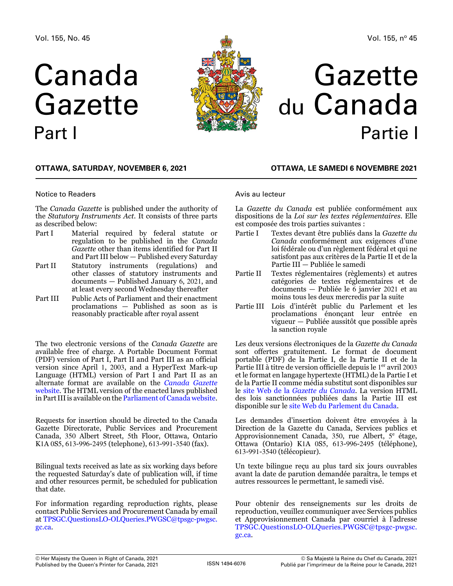# Canada Gazette Part I



# Gazette du Canada Partie I

Vol. 155, nº 45

#### **OTTAWA, Saturday, November 6, 2021**

#### Notice to Readers

The *Canada Gazette* is published under the authority of the *Statutory Instruments Act*. It consists of three parts as described below:

- Part I Material required by federal statute or regulation to be published in the *Canada Gazette* other than items identified for Part II and Part III below — Published every Saturday
- Part II Statutory instruments (regulations) and other classes of statutory instruments and documents — Published January 6, 2021, and at least every second Wednesday thereafter
- Part III Public Acts of Parliament and their enactment proclamations — Published as soon as is reasonably practicable after royal assent

The two electronic versions of the *Canada Gazette* are available free of charge. A Portable Document Format (PDF) version of Part I, Part II and Part III as an official version since April 1, 2003, and a HyperText Mark-up Language (HTML) version of Part I and Part II as an alternate format are available on the *[Canada Gazette](https://gazette.gc.ca/accueil-home-eng.html)*  [website](https://gazette.gc.ca/accueil-home-eng.html). The HTML version of the enacted laws published in Part III is available on the [Parliament of Canada website](https://www.parl.ca/).

Requests for insertion should be directed to the Canada Gazette Directorate, Public Services and Procurement Canada, 350 Albert Street, 5th Floor, Ottawa, Ontario K1A 0S5, 613-996-2495 (telephone), 613-991-3540 (fax).

Bilingual texts received as late as six working days before the requested Saturday's date of publication will, if time and other resources permit, be scheduled for publication that date.

For information regarding reproduction rights, please contact Public Services and Procurement Canada by email at [TPSGC.QuestionsLO-OLQueries.PWGSC@tpsgc-pwgsc.](mailto:TPSGC.QuestionsLO-OLQueries.PWGSC%40tpsgc-pwgsc.gc.ca?subject=) [gc.ca](mailto:TPSGC.QuestionsLO-OLQueries.PWGSC%40tpsgc-pwgsc.gc.ca?subject=).

#### **OTTAWA, LE samedi 6 novembre 2021**

#### Avis au lecteur

La *Gazette du Canada* est publiée conformément aux dispositions de la *Loi sur les textes réglementaires*. Elle est composée des trois parties suivantes :

- Partie I Textes devant être publiés dans la *Gazette du Canada* conformément aux exigences d'une loi fédérale ou d'un règlement fédéral et qui ne satisfont pas aux critères de la Partie II et de la Partie III — Publiée le samedi
- Partie II Textes réglementaires (règlements) et autres catégories de textes réglementaires et de documents — Publiée le 6 janvier 2021 et au moins tous les deux mercredis par la suite
- Partie III Lois d'intérêt public du Parlement et les proclamations énonçant leur entrée en vigueur — Publiée aussitôt que possible après la sanction royale

Les deux versions électroniques de la *Gazette du Canada* sont offertes gratuitement. Le format de document portable (PDF) de la Partie I, de la Partie II et de la Partie III à titre de version officielle depuis le 1<sup>er</sup> avril 2003 et le format en langage hypertexte (HTML) de la Partie I et de la Partie II comme média substitut sont disponibles sur le site Web de la *[Gazette du Canada](https://gazette.gc.ca/accueil-home-fra.html)*. La version HTML des lois sanctionnées publiées dans la Partie III est disponible sur le [site Web du Parlement du Canada](https://www.parl.ca/).

Les demandes d'insertion doivent être envoyées à la Direction de la Gazette du Canada, Services publics et Approvisionnement Canada, 350, rue Albert, 5<sup>e</sup> étage, Ottawa (Ontario) K1A 0S5, 613-996-2495 (téléphone), 613-991-3540 (télécopieur).

Un texte bilingue reçu au plus tard six jours ouvrables avant la date de parution demandée paraîtra, le temps et autres ressources le permettant, le samedi visé.

Pour obtenir des renseignements sur les droits de reproduction, veuillez communiquer avec Services publics et Approvisionnement Canada par courriel à l'adresse [TPSGC.QuestionsLO-OLQueries.PWGSC@tpsgc-pwgsc.](mailto:TPSGC.QuestionsLO-OLQueries.PWGSC%40tpsgc-pwgsc.gc.ca?subject=) [gc.ca](mailto:TPSGC.QuestionsLO-OLQueries.PWGSC%40tpsgc-pwgsc.gc.ca?subject=).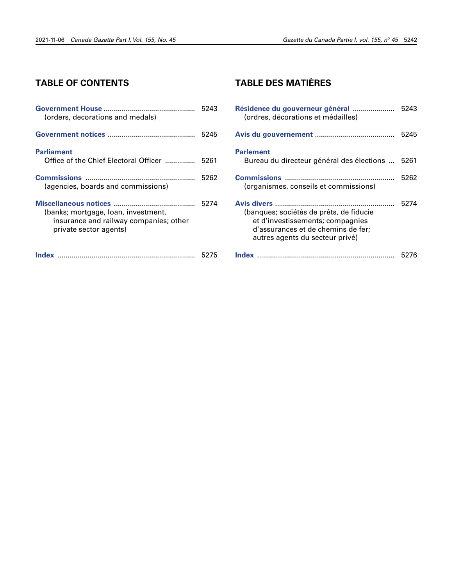# **TABLE OF CONTENTS**

| (orders, decorations and medals)                                                                        | 5243 |
|---------------------------------------------------------------------------------------------------------|------|
|                                                                                                         | 5245 |
| <b>Parliament</b><br>Office of the Chief Electoral Officer                                              | 5261 |
| (agencies, boards and commissions)                                                                      | 5262 |
| (banks; mortgage, loan, investment,<br>insurance and railway companies; other<br>private sector agents) | 5274 |
| <b>Index</b>                                                                                            | トンノト |

# **TABLE DES MATIÈRES**

| Résidence du gouverneur général<br>(ordres, décorations et médailles)                                                                                | 5243 |
|------------------------------------------------------------------------------------------------------------------------------------------------------|------|
|                                                                                                                                                      | 5245 |
| <b>Parlement</b><br>Bureau du directeur général des élections                                                                                        | 5261 |
| (organismes, conseils et commissions)                                                                                                                | 5262 |
| (banques; sociétés de prêts, de fiducie<br>et d'investissements; compagnies<br>d'assurances et de chemins de fer:<br>autres agents du secteur privé) | 5274 |
| <b>Index</b>                                                                                                                                         |      |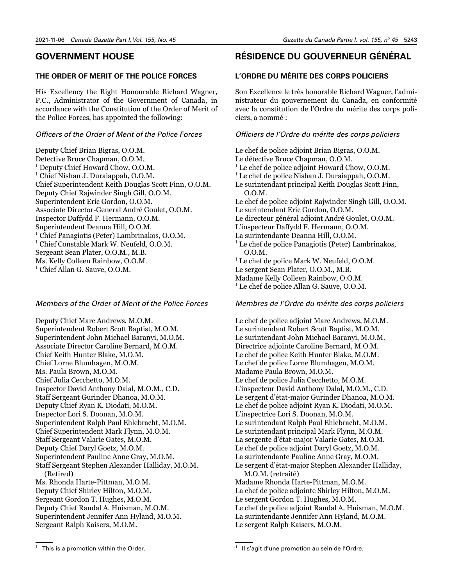### <span id="page-2-0"></span>**GOVERNMENT HOUSE**

#### **THE ORDER OF MERIT OF THE POLICE FORCES**

His Excellency the Right Honourable Richard Wagner, P.C., Administrator of the Government of Canada, in accordance with the Constitution of the Order of Merit of the Police Forces, has appointed the following:

#### *Officers of the Order of Merit of the Police Forces*

Deputy Chief Brian Bigras, O.O.M. Detective Bruce Chapman, O.O.M. <sup>1</sup> Deputy Chief Howard Chow, O.O.M. <sup>1</sup> Chief Nishan J. Duraiappah, O.O.M. Chief Superintendent Keith Douglas Scott Finn, O.O.M. Deputy Chief Rajwinder Singh Gill, O.O.M. Superintendent Eric Gordon, O.O.M. Associate Director-General André Goulet, O.O.M. Inspector Daffydd F. Hermann, O.O.M. Superintendent Deanna Hill, O.O.M. 1 Chief Panagiotis (Peter) Lambrinakos, O.O.M. 1 Chief Constable Mark W. Neufeld, O.O.M. Sergeant Sean Plater, O.O.M., M.B. Ms. Kelly Colleen Rainbow, O.O.M. <sup>1</sup> Chief Allan G. Sauve, O.O.M.

#### *Members of the Order of Merit of the Police Forces*

Deputy Chief Marc Andrews, M.O.M. Superintendent Robert Scott Baptist, M.O.M. Superintendent John Michael Baranyi, M.O.M. Associate Director Caroline Bernard, M.O.M. Chief Keith Hunter Blake, M.O.M. Chief Lorne Blumhagen, M.O.M. Ms. Paula Brown, M.O.M. Chief Julia Cecchetto, M.O.M. Inspector David Anthony Dalal, M.O.M., C.D. Staff Sergeant Gurinder Dhanoa, M.O.M. Deputy Chief Ryan K. Diodati, M.O.M. Inspector Lori S. Doonan, M.O.M. Superintendent Ralph Paul Ehlebracht, M.O.M. Chief Superintendent Mark Flynn, M.O.M. Staff Sergeant Valarie Gates, M.O.M. Deputy Chief Daryl Goetz, M.O.M. Superintendent Pauline Anne Gray, M.O.M. Staff Sergeant Stephen Alexander Halliday, M.O.M. (Retired) Ms. Rhonda Harte-Pittman, M.O.M. Deputy Chief Shirley Hilton, M.O.M. Sergeant Gordon T. Hughes, M.O.M. Deputy Chief Randal A. Huisman, M.O.M. Superintendent Jennifer Ann Hyland, M.O.M. Sergeant Ralph Kaisers, M.O.M.

# **RÉSIDENCE DU GOUVERNEUR GÉNÉRAL**

#### **L'ORDRE DU MÉRITE DES CORPS POLICIERS**

Son Excellence le très honorable Richard Wagner, l'administrateur du gouvernement du Canada, en conformité avec la constitution de l'Ordre du mérite des corps policiers, a nommé :

#### *Officiers de l'Ordre du mérite des corps policiers*

Le chef de police adjoint Brian Bigras, O.O.M. Le détective Bruce Chapman, O.O.M.  $<sup>1</sup>$  Le chef de police adjoint Howard Chow, O.O.M.</sup> <sup>1</sup> Le chef de police Nishan J. Duraiappah, O.O.M. Le surintendant principal Keith Douglas Scott Finn, O.O.M. Le chef de police adjoint Rajwinder Singh Gill, O.O.M. Le surintendant Eric Gordon, O.O.M. Le directeur général adjoint André Goulet, O.O.M. L'inspecteur Daffydd F. Hermann, O.O.M. La surintendante Deanna Hill, O.O.M. <sup>1</sup> Le chef de police Panagiotis (Peter) Lambrinakos, O.O.M. <sup>1</sup> Le chef de police Mark W. Neufeld, O.O.M. Le sergent Sean Plater, O.O.M., M.B. Madame Kelly Colleen Rainbow, O.O.M. <sup>1</sup> Le chef de police Allan G. Sauve, O.O.M.

#### *Membres de l'Ordre du mérite des corps policiers*

Le chef de police adjoint Marc Andrews, M.O.M. Le surintendant Robert Scott Baptist, M.O.M. Le surintendant John Michael Baranyi, M.O.M. Directrice adjointe Caroline Bernard, M.O.M. Le chef de police Keith Hunter Blake, M.O.M. Le chef de police Lorne Blumhagen, M.O.M. Madame Paula Brown, M.O.M. Le chef de police Julia Cecchetto, M.O.M. L'inspecteur David Anthony Dalal, M.O.M., C.D. Le sergent d'état-major Gurinder Dhanoa, M.O.M. Le chef de police adjoint Ryan K. Diodati, M.O.M. L'inspectrice Lori S. Doonan, M.O.M. Le surintendant Ralph Paul Ehlebracht, M.O.M. Le surintendant principal Mark Flynn, M.O.M. La sergente d'état-major Valarie Gates, M.O.M. Le chef de police adjoint Daryl Goetz, M.O.M. La surintendante Pauline Anne Gray, M.O.M. Le sergent d'état-major Stephen Alexander Halliday, M.O.M. (retraité) Madame Rhonda Harte-Pittman, M.O.M. La chef de police adjointe Shirley Hilton, M.O.M. Le sergent Gordon T. Hughes, M.O.M. Le chef de police adjoint Randal A. Huisman, M.O.M. La surintendante Jennifer Ann Hyland, M.O.M. Le sergent Ralph Kaisers, M.O.M.

 $<sup>1</sup>$  This is a promotion within the Order.</sup>

 $1$  Il s'agit d'une promotion au sein de l'Ordre.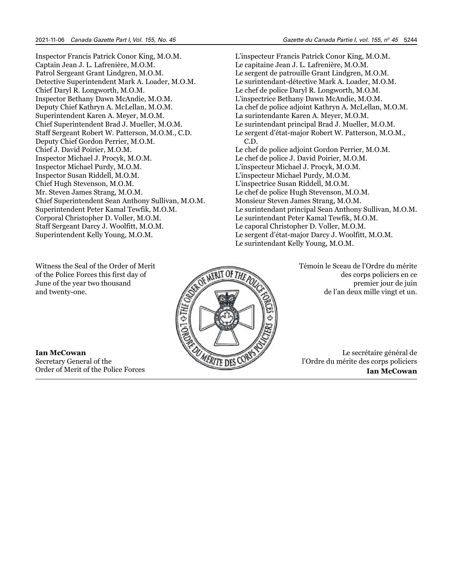Inspector Francis Patrick Conor King, M.O.M. Captain Jean J. L. Lafrenière, M.O.M. Patrol Sergeant Grant Lindgren, M.O.M. Detective Superintendent Mark A. Loader, M.O.M. Chief Daryl R. Longworth, M.O.M. Inspector Bethany Dawn McAndie, M.O.M. Deputy Chief Kathryn A. McLellan, M.O.M. Superintendent Karen A. Meyer, M.O.M. Chief Superintendent Brad J. Mueller, M.O.M. Staff Sergeant Robert W. Patterson, M.O.M., C.D. Deputy Chief Gordon Perrier, M.O.M. Chief J. David Poirier, M.O.M. Inspector Michael J. Procyk, M.O.M. Inspector Michael Purdy, M.O.M. Inspector Susan Riddell, M.O.M. Chief Hugh Stevenson, M.O.M. Mr. Steven James Strang, M.O.M. Chief Superintendent Sean Anthony Sullivan, M.O.M. Superintendent Peter Kamal Tewfik, M.O.M. Corporal Christopher D. Voller, M.O.M. Staff Sergeant Darcy J. Woolfitt, M.O.M. Superintendent Kelly Young, M.O.M.

L'inspecteur Francis Patrick Conor King, M.O.M. Le capitaine Jean J. L. Lafrenière, M.O.M. Le sergent de patrouille Grant Lindgren, M.O.M. Le surintendant-détective Mark A. Loader, M.O.M. Le chef de police Daryl R. Longworth, M.O.M. L'inspectrice Bethany Dawn McAndie, M.O.M. La chef de police adjoint Kathryn A. McLellan, M.O.M. La surintendante Karen A. Meyer, M.O.M. Le surintendant principal Brad J. Mueller, M.O.M. Le sergent d'état-major Robert W. Patterson, M.O.M., C.D. Le chef de police adjoint Gordon Perrier, M.O.M. Le chef de police J. David Poirier, M.O.M. L'inspecteur Michael J. Procyk, M.O.M. L'inspecteur Michael Purdy, M.O.M. L'inspectrice Susan Riddell, M.O.M. Le chef de police Hugh Stevenson, M.O.M. Monsieur Steven James Strang, M.O.M. Le surintendant principal Sean Anthony Sullivan, M.O.M. Le surintendant Peter Kamal Tewfik, M.O.M. Le caporal Christopher D. Voller, M.O.M. Le sergent d'état-major Darcy J. Woolfitt, M.O.M. Le surintendant Kelly Young, M.O.M.

Witness the Seal of the Order of Merit of the Police Forces this first day of June of the year two thousand and twenty-one.

**Ian McCowan**

Secretary General of the

Order of Merit of the Police Forces



Témoin le Sceau de l'Ordre du mérite des corps policiers en ce premier jour de juin de l'an deux mille vingt et un.

Le secrétaire général de l'Ordre du mérite des corps policiers **Ian McCowan**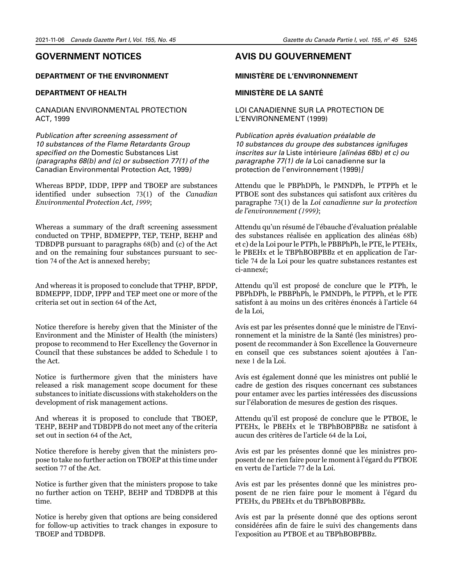#### <span id="page-4-0"></span>**GOVERNMENT NOTICES**

#### **DEPARTMENT OF THE ENVIRONMENT**

#### **DEPARTMENT OF HEALTH**

#### CANADIAN ENVIRONMENTAL PROTECTION ACT, 1999

*Publication after screening assessment of 10 substances of the Flame Retardants Group specified on the* Domestic Substances List *(paragraphs 68(b) and (c) or subsection 77(1) of the*  Canadian Environmental Protection Act, 1999*)*

Whereas BPDP, IDDP, IPPP and TBOEP are substances identified under subsection 73(1) of the *Canadian Environmental Protection Act, 1999*;

Whereas a summary of the draft screening assessment conducted on TPHP, BDMEPPP, TEP, TEHP, BEHP and TDBDPB pursuant to paragraphs 68(b) and (c) of the Act and on the remaining four substances pursuant to section 74 of the Act is annexed hereby;

And whereas it is proposed to conclude that TPHP, BPDP, BDMEPPP, IDDP, IPPP and TEP meet one or more of the criteria set out in section 64 of the Act,

Notice therefore is hereby given that the Minister of the Environment and the Minister of Health (the ministers) propose to recommend to Her Excellency the Governor in Council that these substances be added to Schedule 1 to the Act.

Notice is furthermore given that the ministers have released a risk management scope document for these substances to initiate discussions with stakeholders on the development of risk management actions.

And whereas it is proposed to conclude that TBOEP, TEHP, BEHP and TDBDPB do not meet any of the criteria set out in section 64 of the Act,

Notice therefore is hereby given that the ministers propose to take no further action on TBOEP at this time under section 77 of the Act.

Notice is further given that the ministers propose to take no further action on TEHP, BEHP and TDBDPB at this time.

Notice is hereby given that options are being considered for follow-up activities to track changes in exposure to TBOEP and TDBDPB.

# **AVIS DU GOUVERNEMENT**

#### **MINISTÈRE DE L'ENVIRONNEMENT**

#### **MINISTÈRE DE LA SANTÉ**

#### LOI CANADIENNE SUR LA PROTECTION DE L'ENVIRONNEMENT (1999)

*Publication après évaluation préalable de 10 substances du groupe des substances ignifuges inscrites sur la* Liste intérieure *[alinéas 68b) et c) ou paragraphe 77(1) de la* Loi canadienne sur la protection de l'environnement (1999)*]*

Attendu que le PBPhDPh, le PMNDPh, le PTPPh et le PTBOE sont des substances qui satisfont aux critères du paragraphe 73(1) de la *Loi canadienne sur la protection de l'environnement (1999)*;

Attendu qu'un résumé de l'ébauche d'évaluation préalable des substances réalisée en application des alinéas 68b) et c) de la Loi pour le PTPh, le PBBPhPh, le PTE, le PTEHx, le PBEHx et le TBPhBOBPBBz et en application de l'article 74 de la Loi pour les quatre substances restantes est ci-annexé;

Attendu qu'il est proposé de conclure que le PTPh, le PBPhDPh, le PBBPhPh, le PMNDPh, le PTPPh, et le PTE satisfont à au moins un des critères énoncés à l'article 64 de la Loi,

Avis est par les présentes donné que le ministre de l'Environnement et la ministre de la Santé (les ministres) proposent de recommander à Son Excellence la Gouverneure en conseil que ces substances soient ajoutées à l'annexe 1 de la Loi.

Avis est également donné que les ministres ont publié le cadre de gestion des risques concernant ces substances pour entamer avec les parties intéressées des discussions sur l'élaboration de mesures de gestion des risques.

Attendu qu'il est proposé de conclure que le PTBOE, le PTEHx, le PBEHx et le TBPhBOBPBBz ne satisfont à aucun des critères de l'article 64 de la Loi,

Avis est par les présentes donné que les ministres proposent de ne rien faire pour le moment à l'égard du PTBOE en vertu de l'article 77 de la Loi.

Avis est par les présentes donné que les ministres proposent de ne rien faire pour le moment à l'égard du PTEHx, du PBEHx et du TBPhBOBPBBz.

Avis est par la présente donné que des options seront considérées afin de faire le suivi des changements dans l'exposition au PTBOE et au TBPhBOBPBBz.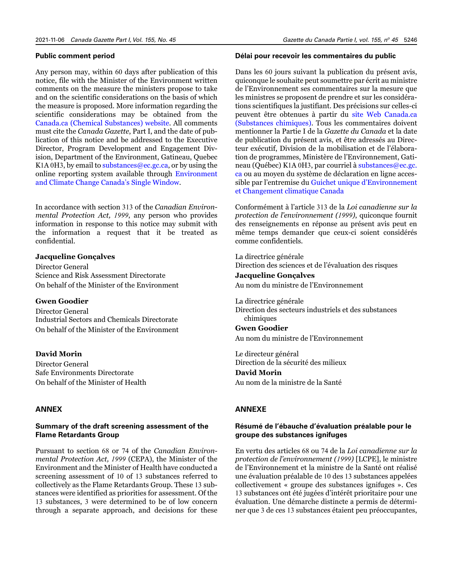Any person may, within 60 days after publication of this notice, file with the Minister of the Environment written comments on the measure the ministers propose to take and on the scientific considerations on the basis of which the measure is proposed. More information regarding the scientific considerations may be obtained from the [Canada.ca \(Chemical Substances\) website.](https://www.canada.ca/en/health-canada/services/chemical-substances/latest-news.html) All comments must cite the *Canada Gazette*, Part I, and the date of publication of this notice and be addressed to the Executive Director, Program Development and Engagement Division, Department of the Environment, Gatineau, Quebec K1A 0H3, by email to [substances@ec.gc.ca](mailto:substances%40ec.gc.ca?subject=), or by using the online reporting system available through [Environment](https://ec.ss.ec.gc.ca/en/cs?&GAURI=https://ec.ss.ec.gc.ca/auth/%7bl2%7d,https://ec.ss.ec.gc.ca/auth/en?&GAREASONCODE=-1&GARESOURCEID=ecssecgccanewp1&Reason=-1&APPID=ecssecgccanewp1&URI=https://ec.ss.ec.gc.ca/auth/en?) [and Climate Change Canada's Single Window](https://ec.ss.ec.gc.ca/en/cs?&GAURI=https://ec.ss.ec.gc.ca/auth/%7bl2%7d,https://ec.ss.ec.gc.ca/auth/en?&GAREASONCODE=-1&GARESOURCEID=ecssecgccanewp1&Reason=-1&APPID=ecssecgccanewp1&URI=https://ec.ss.ec.gc.ca/auth/en?).

In accordance with section 313 of the *Canadian Environmental Protection Act, 1999*, any person who provides information in response to this notice may submit with the information a request that it be treated as confidential.

#### **Jacqueline Gonçalves**

Director General Science and Risk Assessment Directorate On behalf of the Minister of the Environment

#### **Gwen Goodier**

Director General Industrial Sectors and Chemicals Directorate On behalf of the Minister of the Environment

#### **David Morin**

Director General Safe Environments Directorate On behalf of the Minister of Health

#### **ANNEX**

#### **Summary of the draft screening assessment of the Flame Retardants Group**

Pursuant to section 68 or 74 of the *Canadian Environmental Protection Act, 1999* (CEPA), the Minister of the Environment and the Minister of Health have conducted a screening assessment of 10 of 13 substances referred to collectively as the Flame Retardants Group. These 13 substances were identified as priorities for assessment. Of the 13 substances, 3 were determined to be of low concern through a separate approach, and decisions for these

#### **Délai pour recevoir les commentaires du public**

Dans les 60 jours suivant la publication du présent avis, quiconque le souhaite peut soumettre par écrit au ministre de l'Environnement ses commentaires sur la mesure que les ministres se proposent de prendre et sur les considérations scientifiques la justifiant. Des précisions sur celles-ci peuvent être obtenues à partir du [site Web Canada.ca](https://www.canada.ca/fr/sante-canada/services/substances-chimiques/dernieres-nouvelles.html)  [\(Substances chimiques\).](https://www.canada.ca/fr/sante-canada/services/substances-chimiques/dernieres-nouvelles.html) Tous les commentaires doivent mentionner la Partie I de la *Gazette du Canada* et la date de publication du présent avis, et être adressés au Directeur exécutif, Division de la mobilisation et de l'élaboration de programmes, Ministère de l'Environnement, Gatineau (Québec) K1A 0H3, par courriel à [substances@ec.gc.](mailto:substances%40ec.gc.ca?subject=) [ca](mailto:substances%40ec.gc.ca?subject=) ou au moyen du système de déclaration en ligne accessible par l'entremise du [Guichet unique d'Environnement](https://ec.ss.ec.gc.ca/fr/cs?&GAURI=https://ec.ss.ec.gc.ca/auth/%7bl2%7d,https://ec.ss.ec.gc.ca/auth/fr?&GAREASONCODE=-1&GARESOURCEID=ecssecgccanewp1&Reason=-1&APPID=ecssecgccanewp1&URI=https://ec.ss.ec.gc.ca/auth/fr?)  [et Changement climatique Canada](https://ec.ss.ec.gc.ca/fr/cs?&GAURI=https://ec.ss.ec.gc.ca/auth/%7bl2%7d,https://ec.ss.ec.gc.ca/auth/fr?&GAREASONCODE=-1&GARESOURCEID=ecssecgccanewp1&Reason=-1&APPID=ecssecgccanewp1&URI=https://ec.ss.ec.gc.ca/auth/fr?)

Conformément à l'article 313 de la *Loi canadienne sur la protection de l'environnement (1999)*, quiconque fournit des renseignements en réponse au présent avis peut en même temps demander que ceux-ci soient considérés comme confidentiels.

La directrice générale Direction des sciences et de l'évaluation des risques

**Jacqueline Gonçalves**

Au nom du ministre de l'Environnement

La directrice générale

Direction des secteurs industriels et des substances chimiques

#### **Gwen Goodier**

Au nom du ministre de l'Environnement

Le directeur général Direction de la sécurité des milieux

#### **David Morin**

Au nom de la ministre de la Santé

#### **ANNEXE**

#### **Résumé de l'ébauche d'évaluation préalable pour le groupe des substances ignifuges**

En vertu des articles 68 ou 74 de la *Loi canadienne sur la protection de l'environnement (1999)* [LCPE], le ministre de l'Environnement et la ministre de la Santé ont réalisé une évaluation préalable de 10 des 13 substances appelées collectivement « groupe des substances ignifuges ». Ces 13 substances ont été jugées d'intérêt prioritaire pour une évaluation. Une démarche distincte a permis de déterminer que 3 de ces 13 substances étaient peu préoccupantes,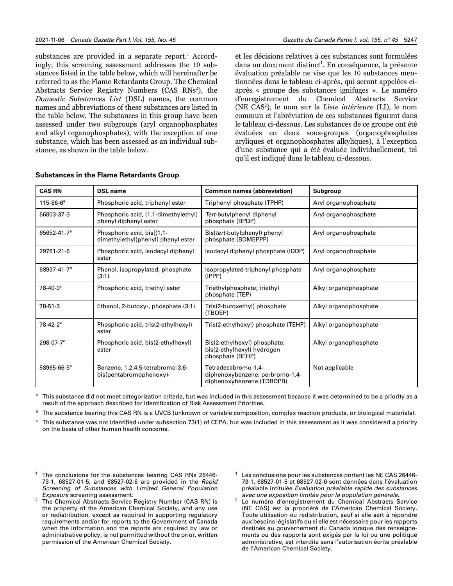Gazette du Canada Partie I, vol. 155, nº 45 5247

substances are provided in a separate report.<sup>1</sup> Accordingly, this screening assessment addresses the 10 substances listed in the table below, which will hereinafter be referred to as the Flame Retardants Group. The Chemical Abstracts Service Registry Numbers (CAS RNs<sup>2</sup>), the *Domestic Substances List* (DSL) names, the common names and abbreviations of these substances are listed in the table below. The substances in this group have been assessed under two subgroups (aryl organophosphates and alkyl organophosphates), with the exception of one substance, which has been assessed as an individual substance, as shown in the table below.

et les décisions relatives à ces substances sont formulées dans un document distinct<sup>1</sup>. En conséquence, la présente évaluation préalable ne vise que les 10 substances mentionnées dans le tableau ci-après, qui seront appelées ciaprès « groupe des substances ignifuges ». Le numéro d'enregistrement du Chemical Abstracts Service (NE CAS<sup>2</sup>), le nom sur la *Liste intérieure* (LI), le nom commun et l'abréviation de ces substances figurent dans le tableau ci-dessous. Les substances de ce groupe ont été évaluées en deux sous-groupes (organophosphates aryliques et organophosphates alkyliques), à l'exception d'une substance qui a été évaluée individuellement, tel qu'il est indiqué dans le tableau ci-dessous.

| <b>CAS RN</b>              | <b>DSL</b> name                                                  | <b>Common names (abbreviation)</b>                                                  | Subgroup              |
|----------------------------|------------------------------------------------------------------|-------------------------------------------------------------------------------------|-----------------------|
| $115 - 86 - 6^a$           | Phosphoric acid, triphenyl ester                                 | Triphenyl phosphate (TPHP)                                                          | Aryl organophosphate  |
| 56803-37-3                 | Phosphoric acid, (1,1-dimethylethyl)<br>phenyl diphenyl ester    | Tert-butylphenyl diphenyl<br>phosphate (BPDP)                                       | Aryl organophosphate  |
| 65652-41-7 <sup>a</sup>    | Phosphoric acid, bis[(1,1-<br>dimethylethyl)phenyl] phenyl ester | Bis(tert-butylphenyl) phenyl<br>phosphate (BDMEPPP)                                 | Aryl organophosphate  |
| 29761-21-5                 | Phosphoric acid, isodecyl diphenyl<br>ester                      | Isodecyl diphenyl phosphate (IDDP)                                                  | Aryl organophosphate  |
| 68937-41-7 <sup>b</sup>    | Phenol, isopropylated, phosphate<br>(3:1)                        | Isopropylated triphenyl phosphate<br>(IPPP)                                         | Aryl organophosphate  |
| $78 - 40 - 0$ <sup>c</sup> | Phosphoric acid, triethyl ester                                  | Triethylphosphate; triethyl<br>phosphate (TEP)                                      | Alkyl organophosphate |
| 78-51-3                    | Ethanol, 2-butoxy-, phosphate (3:1)                              | Tris(2-butoxethyl) phosphate<br>(TBOEP)                                             | Alkyl organophosphate |
| $78-42-2$ <sup>c</sup>     | Phosphoric acid, tris(2-ethylhexyl)<br>ester                     | Tris(2-ethylhexyl) phosphate (TEHP)                                                 | Alkyl organophosphate |
| 298-07-7°                  | Phosphoric acid, bis(2-ethylhexyl)<br>ester                      | Bis(2-ethylhexyl) phosphate;<br>bis(2-ethylhexyl) hydrogen<br>phosphate (BEHP)      | Alkyl organophosphate |
| 58965-66-5 <sup>a</sup>    | Benzene, 1,2,4,5-tetrabromo-3,6-<br>bis(pentabromophenoxy)-      | Tetradecabromo-1,4-<br>diphenoxybenzene; perbromo-1,4-<br>diphenoxybenzene (TDBDPB) | Not applicable        |

#### **Substances in the Flame Retardants Group**

This substance did not meet categorization criteria, but was included in this assessment because it was determined to be a priority as a result of the approach described for Identification of Risk Assessment Priorities.

The substance bearing this CAS RN is a UVCB (unknown or variable composition, complex reaction products, or biological materials).

<sup>c</sup> This substance was not identified under subsection 73(1) of CEPA, but was included in this assessment as it was considered a priority on the basis of other human health concerns.

The conclusions for the substances bearing CAS RNs 26446-73-1, 68527-01-5, and 68527-02-6 are provided in the *Rapid Screening of Substances with Limited General Population* 

*Exposure* screening assessment.<br><sup>2</sup> The Chemical Abstracts Service Registry Number (CAS RN) is the property of the American Chemical Society, and any use or redistribution, except as required in supporting regulatory requirements and/or for reports to the Government of Canada when the information and the reports are required by law or administrative policy, is not permitted without the prior, written permission of the American Chemical Society.

Les conclusions pour les substances portant les NE CAS 26446-73-1, 68527-01-5 et 68527-02-6 sont données dans l'évaluation préalable intitulée *Évaluation préalable rapide des substances* 

*avec une exposition limitée pour la population générale*. <sup>2</sup> Le numéro d'enregistrement du Chemical Abstracts Service (NE CAS) est la propriété de l'American Chemical Society. Toute utilisation ou redistribution, sauf si elle sert à répondre aux besoins législatifs ou si elle est nécessaire pour les rapports destinés au gouvernement du Canada lorsque des renseignements ou des rapports sont exigés par la loi ou une politique administrative, est interdite sans l'autorisation écrite préalable de l'American Chemical Society.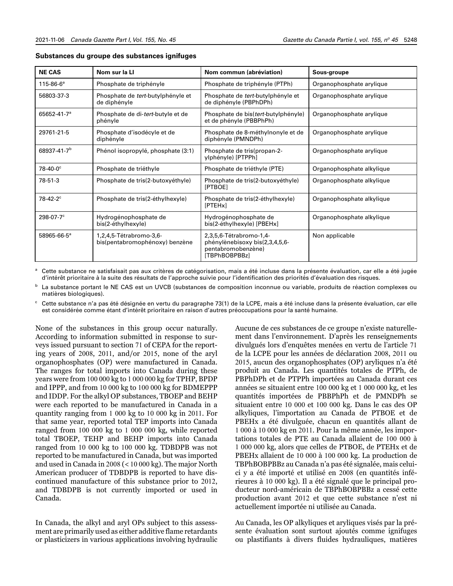| <b>NE CAS</b>           | Nom sur la Ll                                             | Nom commun (abréviation)                                                                         | Sous-groupe               |
|-------------------------|-----------------------------------------------------------|--------------------------------------------------------------------------------------------------|---------------------------|
| $115 - 86 - 6^a$        | Phosphate de triphényle                                   | Phosphate de triphényle (PTPh)                                                                   | Organophosphate arylique  |
| 56803-37-3              | Phosphate de tert-butylphényle et<br>de diphényle         | Phosphate de tert-butylphényle et<br>de diphényle (PBPhDPh)                                      | Organophosphate arylique  |
| 65652-41-7 <sup>a</sup> | Phosphate de di-tert-butyle et de<br>phényle              | Phosphate de bis(tert-butylphényle)<br>et de phényle (PBBPhPh)                                   | Organophosphate arylique  |
| 29761-21-5              | Phosphate d'isodécyle et de<br>diphényle                  | Phosphate de 8-méthylnonyle et de<br>diphényle (PMNDPh)                                          | Organophosphate arylique  |
| 68937-41-7 <sup>b</sup> | Phénol isopropylé, phosphate (3:1)                        | Phosphate de tris(propan-2-<br>ylphényle) [PTPPh]                                                | Organophosphate arylique  |
| $78-40-0^{\circ}$       | Phosphate de triéthyle                                    | Phosphate de triéthyle (PTE)                                                                     | Organophosphate alkylique |
| 78-51-3                 | Phosphate de tris(2-butoxyéthyle)                         | Phosphate de tris(2-butoxyéthyle)<br><b>IPTBOEI</b>                                              | Organophosphate alkylique |
| $78-42-2$ <sup>c</sup>  | Phosphate de tris(2-éthylhexyle)                          | Phosphate de tris(2-éthylhexyle)<br>[PTEHx]                                                      | Organophosphate alkylique |
| $298 - 07 - 7$ °        | Hydrogénophosphate de<br>bis(2-éthylhexyle)               | Hydrogénophosphate de<br>bis(2-éthylhexyle) [PBEHx]                                              | Organophosphate alkylique |
| 58965-66-5 <sup>a</sup> | 1,2,4,5-Tétrabromo-3,6-<br>bis(pentabromophénoxy) benzène | 2,3,5,6-Tétrabromo-1,4-<br>phénylènebisoxy bis(2,3,4,5,6-<br>pentabromobenzène)<br>[TBPhBOBPBBz] | Non applicable            |

#### **Substances du groupe des substances ignifuges**

Cette substance ne satisfaisait pas aux critères de catégorisation, mais a été incluse dans la présente évaluation, car elle a été jugée d'intérêt prioritaire à la suite des résultats de l'approche suivie pour l'identification des priorités d'évaluation des risques.

La substance portant le NE CAS est un UVCB (substances de composition inconnue ou variable, produits de réaction complexes ou matières biologiques).

c Cette substance n'a pas été désignée en vertu du paragraphe 73(1) de la LCPE, mais a été incluse dans la présente évaluation, car elle est considérée comme étant d'intérêt prioritaire en raison d'autres préoccupations pour la santé humaine.

None of the substances in this group occur naturally. According to information submitted in response to surveys issued pursuant to section 71 of CEPA for the reporting years of 2008, 2011, and/or 2015, none of the aryl organophosphates (OP) were manufactured in Canada. The ranges for total imports into Canada during these years were from 100 000 kg to 1 000 000 kg for TPHP, BPDP and IPPP, and from 10 000 kg to 100 000 kg for BDMEPPP and IDDP. For the alkyl OP substances, TBOEP and BEHP were each reported to be manufactured in Canada in a quantity ranging from 1 000 kg to 10 000 kg in 2011. For that same year, reported total TEP imports into Canada ranged from 100 000 kg to 1 000 000 kg, while reported total TBOEP, TEHP and BEHP imports into Canada ranged from 10 000 kg to 100 000 kg. TDBDPB was not reported to be manufactured in Canada, but was imported and used in Canada in 2008 (<10 000 kg). The major North American producer of TDBDPB is reported to have discontinued manufacture of this substance prior to 2012, and TDBDPB is not currently imported or used in Canada.

In Canada, the alkyl and aryl OPs subject to this assessment are primarily used as either additive flame retardants or plasticizers in various applications involving hydraulic Aucune de ces substances de ce groupe n'existe naturellement dans l'environnement. D'après les renseignements divulgués lors d'enquêtes menées en vertu de l'article 71 de la LCPE pour les années de déclaration 2008, 2011 ou 2015, aucun des organophosphates (OP) aryliques n'a été produit au Canada. Les quantités totales de PTPh, de PBPhDPh et de PTPPh importées au Canada durant ces années se situaient entre 100 000 kg et 1 000 000 kg, et les quantités importées de PBBPhPh et de PMNDPh se situaient entre 10 000 et 100 000 kg. Dans le cas des OP alkyliques, l'importation au Canada de PTBOE et de PBEHx a été divulguée, chacun en quantités allant de 1 000 à 10 000 kg en 2011. Pour la même année, les importations totales de PTE au Canada allaient de 100 000 à 1 000 000 kg, alors que celles de PTBOE, de PTEHx et de PBEHx allaient de 10 000 à 100 000 kg. La production de TBPhBOBPBBz au Canada n'a pas été signalée, mais celuici y a été importé et utilisé en 2008 (en quantités inférieures à 10 000 kg). Il a été signalé que le principal producteur nord-américain de TBPhBOBPBBz a cessé cette production avant 2012 et que cette substance n'est ni actuellement importée ni utilisée au Canada.

Au Canada, les OP alkyliques et aryliques visés par la présente évaluation sont surtout ajoutés comme ignifuges ou plastifiants à divers fluides hydrauliques, matières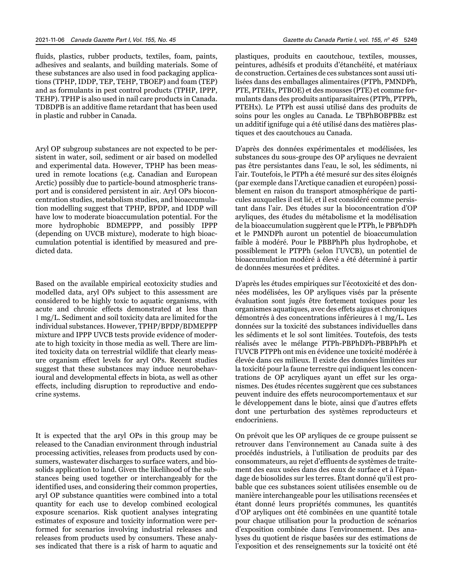fluids, plastics, rubber products, textiles, foam, paints, adhesives and sealants, and building materials. Some of these substances are also used in food packaging applications (TPHP, IDDP, TEP, TEHP, TBOEP) and foam (TEP) and as formulants in pest control products (TPHP, IPPP, TEHP). TPHP is also used in nail care products in Canada. TDBDPB is an additive flame retardant that has been used in plastic and rubber in Canada.

Aryl OP subgroup substances are not expected to be persistent in water, soil, sediment or air based on modelled and experimental data. However, TPHP has been measured in remote locations (e.g. Canadian and European Arctic) possibly due to particle-bound atmospheric transport and is considered persistent in air. Aryl OPs bioconcentration studies, metabolism studies, and bioaccumulation modelling suggest that TPHP, BPDP, and IDDP will have low to moderate bioaccumulation potential. For the more hydrophobic BDMEPPP, and possibly IPPP (depending on UVCB mixture), moderate to high bioaccumulation potential is identified by measured and predicted data.

Based on the available empirical ecotoxicity studies and modelled data, aryl OPs subject to this assessment are considered to be highly toxic to aquatic organisms, with acute and chronic effects demonstrated at less than 1 mg/L. Sediment and soil toxicity data are limited for the individual substances. However, TPHP/BPDP/BDMEPPP mixture and IPPP UVCB tests provide evidence of moderate to high toxicity in those media as well. There are limited toxicity data on terrestrial wildlife that clearly measure organism effect levels for aryl OPs. Recent studies suggest that these substances may induce neurobehavioural and developmental effects in biota, as well as other effects, including disruption to reproductive and endocrine systems.

It is expected that the aryl OPs in this group may be released to the Canadian environment through industrial processing activities, releases from products used by consumers, wastewater discharges to surface waters, and biosolids application to land. Given the likelihood of the substances being used together or interchangeably for the identified uses, and considering their common properties, aryl OP substance quantities were combined into a total quantity for each use to develop combined ecological exposure scenarios. Risk quotient analyses integrating estimates of exposure and toxicity information were performed for scenarios involving industrial releases and releases from products used by consumers. These analyses indicated that there is a risk of harm to aquatic and

plastiques, produits en caoutchouc, textiles, mousses, peintures, adhésifs et produits d'étanchéité, et matériaux de construction. Certaines de ces substances sont aussi utilisées dans des emballages alimentaires (PTPh, PMNDPh, PTE, PTEHx, PTBOE) et des mousses (PTE) et comme formulants dans des produits antiparasitaires (PTPh, PTPPh, PTEHx). Le PTPh est aussi utilisé dans des produits de soins pour les ongles au Canada. Le TBPhBOBPBBz est un additif ignifuge qui a été utilisé dans des matières plastiques et des caoutchoucs au Canada.

D'après des données expérimentales et modélisées, les substances du sous-groupe des OP aryliques ne devraient pas être persistantes dans l'eau, le sol, les sédiments, ni l'air. Toutefois, le PTPh a été mesuré sur des sites éloignés (par exemple dans l'Arctique canadien et européen) possiblement en raison du transport atmosphérique de particules auxquelles il est lié, et il est considéré comme persistant dans l'air. Des études sur la bioconcentration d'OP aryliques, des études du métabolisme et la modélisation de la bioaccumulation suggèrent que le PTPh, le PBPhDPh et le PMNDPh auront un potentiel de bioaccumulation faible à modéré. Pour le PBBPhPh plus hydrophobe, et possiblement le PTPPh (selon l'UVCB), un potentiel de bioaccumulation modéré à élevé a été déterminé à partir de données mesurées et prédites.

D'après les études empiriques sur l'écotoxicité et des données modélisées, les OP aryliques visés par la présente évaluation sont jugés être fortement toxiques pour les organismes aquatiques, avec des effets aigus et chroniques démontrés à des concentrations inférieures à 1 mg/L. Les données sur la toxicité des substances individuelles dans les sédiments et le sol sont limitées. Toutefois, des tests réalisés avec le mélange PTPh-PBPhDPh-PBBPhPh et l'UVCB PTPPh ont mis en évidence une toxicité modérée à élevée dans ces milieux. Il existe des données limitées sur la toxicité pour la faune terrestre qui indiquent les concentrations de OP acryliques ayant un effet sur les organismes. Des études récentes suggèrent que ces substances peuvent induire des effets neurocomportementaux et sur le développement dans le biote, ainsi que d'autres effets dont une perturbation des systèmes reproducteurs et endocriniens.

On prévoit que les OP aryliques de ce groupe puissent se retrouver dans l'environnement au Canada suite à des procédés industriels, à l'utilisation de produits par des consommateurs, au rejet d'effluents de systèmes de traitement des eaux usées dans des eaux de surface et à l'épandage de biosolides sur les terres. Étant donné qu'il est probable que ces substances soient utilisées ensemble ou de manière interchangeable pour les utilisations recensées et étant donné leurs propriétés communes, les quantités d'OP aryliques ont été combinées en une quantité totale pour chaque utilisation pour la production de scénarios d'exposition combinée dans l'environnement. Des analyses du quotient de risque basées sur des estimations de l'exposition et des renseignements sur la toxicité ont été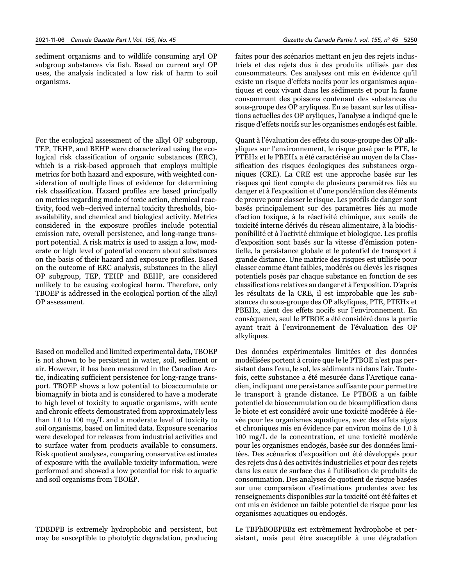sediment organisms and to wildlife consuming aryl OP subgroup substances via fish. Based on current aryl OP uses, the analysis indicated a low risk of harm to soil organisms.

For the ecological assessment of the alkyl OP subgroup, TEP, TEHP, and BEHP were characterized using the ecological risk classification of organic substances (ERC), which is a risk-based approach that employs multiple metrics for both hazard and exposure, with weighted consideration of multiple lines of evidence for determining risk classification. Hazard profiles are based principally on metrics regarding mode of toxic action, chemical reactivity, food web–derived internal toxicity thresholds, bioavailability, and chemical and biological activity. Metrics considered in the exposure profiles include potential emission rate, overall persistence, and long-range transport potential. A risk matrix is used to assign a low, moderate or high level of potential concern about substances on the basis of their hazard and exposure profiles. Based on the outcome of ERC analysis, substances in the alkyl OP subgroup, TEP, TEHP and BEHP, are considered unlikely to be causing ecological harm. Therefore, only TBOEP is addressed in the ecological portion of the alkyl OP assessment.

Based on modelled and limited experimental data, TBOEP is not shown to be persistent in water, soil, sediment or air. However, it has been measured in the Canadian Arctic, indicating sufficient persistence for long-range transport. TBOEP shows a low potential to bioaccumulate or biomagnify in biota and is considered to have a moderate to high level of toxicity to aquatic organisms, with acute and chronic effects demonstrated from approximately less than 1.0 to 100 mg/L and a moderate level of toxicity to soil organisms, based on limited data. Exposure scenarios were developed for releases from industrial activities and to surface water from products available to consumers. Risk quotient analyses, comparing conservative estimates of exposure with the available toxicity information, were performed and showed a low potential for risk to aquatic and soil organisms from TBOEP.

TDBDPB is extremely hydrophobic and persistent, but may be susceptible to photolytic degradation, producing faites pour des scénarios mettant en jeu des rejets industriels et des rejets dus à des produits utilisés par des consommateurs. Ces analyses ont mis en évidence qu'il existe un risque d'effets nocifs pour les organismes aquatiques et ceux vivant dans les sédiments et pour la faune consommant des poissons contenant des substances du sous-groupe des OP aryliques. En se basant sur les utilisations actuelles des OP aryliques, l'analyse a indiqué que le risque d'effets nocifs sur les organismes endogés est faible.

Quant à l'évaluation des effets du sous-groupe des OP alkyliques sur l'environnement, le risque posé par le PTE, le PTEHx et le PBEHx a été caractérisé au moyen de la Classification des risques écologiques des substances organiques (CRE). La CRE est une approche basée sur les risques qui tient compte de plusieurs paramètres liés au danger et à l'exposition et d'une pondération des éléments de preuve pour classer le risque. Les profils de danger sont basés principalement sur des paramètres liés au mode d'action toxique, à la réactivité chimique, aux seuils de toxicité interne dérivés du réseau alimentaire, à la biodisponibilité et à l'activité chimique et biologique. Les profils d'exposition sont basés sur la vitesse d'émission potentielle, la persistance globale et le potentiel de transport à grande distance. Une matrice des risques est utilisée pour classer comme étant faibles, modérés ou élevés les risques potentiels posés par chaque substance en fonction de ses classifications relatives au danger et à l'exposition. D'après les résultats de la CRE, il est improbable que les substances du sous-groupe des OP alkyliques, PTE, PTEHx et PBEHx, aient des effets nocifs sur l'environnement. En conséquence, seul le PTBOE a été considéré dans la partie ayant trait à l'environnement de l'évaluation des OP alkyliques.

Des données expérimentales limitées et des données modélisées portent à croire que le le PTBOE n'est pas persistant dans l'eau, le sol, les sédiments ni dans l'air. Toutefois, cette substance a été mesurée dans l'Arctique canadien, indiquant une persistance suffisante pour permettre le transport à grande distance. Le PTBOE a un faible potentiel de bioaccumulation ou de bioamplification dans le biote et est considéré avoir une toxicité modérée à élevée pour les organismes aquatiques, avec des effets aigus et chroniques mis en évidence par environ moins de 1,0 à 100 mg/L de la concentration, et une toxicité modérée pour les organismes endogés, basée sur des données limitées. Des scénarios d'exposition ont été développés pour des rejets dus à des activités industrielles et pour des rejets dans les eaux de surface dus à l'utilisation de produits de consommation. Des analyses de quotient de risque basées sur une comparaison d'estimations prudentes avec les renseignements disponibles sur la toxicité ont été faites et ont mis en évidence un faible potentiel de risque pour les organismes aquatiques ou endogés.

Le TBPhBOBPBBz est extrêmement hydrophobe et persistant, mais peut être susceptible à une dégradation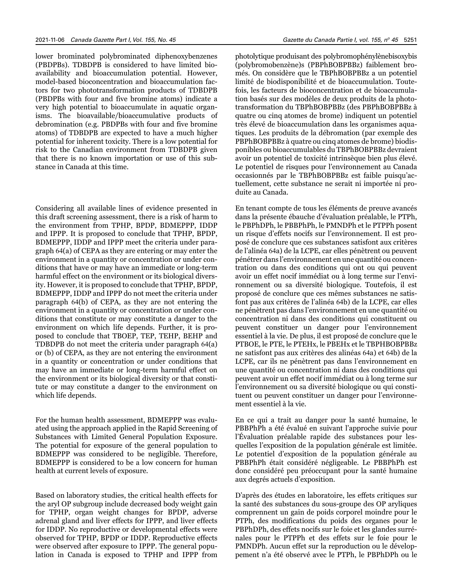lower brominated polybrominated diphenoxybenzenes (PBDPBs). TDBDPB is considered to have limited bioavailability and bioaccumulation potential. However, model-based bioconcentration and bioaccumulation factors for two phototransformation products of TDBDPB (PBDPBs with four and five bromine atoms) indicate a very high potential to bioaccumulate in aquatic organisms. The bioavailable/bioaccumulative products of debromination (e.g. PBDPBs with four and five bromine atoms) of TDBDPB are expected to have a much higher potential for inherent toxicity. There is a low potential for risk to the Canadian environment from TDBDPB given that there is no known importation or use of this substance in Canada at this time.

Considering all available lines of evidence presented in this draft screening assessment, there is a risk of harm to the environment from TPHP, BPDP, BDMEPPP, IDDP and IPPP. It is proposed to conclude that TPHP, BPDP, BDMEPPP, IDDP and IPPP meet the criteria under paragraph 64(a) of CEPA as they are entering or may enter the environment in a quantity or concentration or under conditions that have or may have an immediate or long-term harmful effect on the environment or its biological diversity. However, it is proposed to conclude that TPHP, BPDP, BDMEPPP, IDDP and IPPP do not meet the criteria under paragraph 64(b) of CEPA, as they are not entering the environment in a quantity or concentration or under conditions that constitute or may constitute a danger to the environment on which life depends. Further, it is proposed to conclude that TBOEP, TEP, TEHP, BEHP and TDBDPB do not meet the criteria under paragraph 64(a) or (b) of CEPA, as they are not entering the environment in a quantity or concentration or under conditions that may have an immediate or long-term harmful effect on the environment or its biological diversity or that constitute or may constitute a danger to the environment on which life depends.

For the human health assessment, BDMEPPP was evaluated using the approach applied in the Rapid Screening of Substances with Limited General Population Exposure. The potential for exposure of the general population to BDMEPPP was considered to be negligible. Therefore, BDMEPPP is considered to be a low concern for human health at current levels of exposure.

Based on laboratory studies, the critical health effects for the aryl OP subgroup include decreased body weight gain for TPHP, organ weight changes for BPDP, adverse adrenal gland and liver effects for IPPP, and liver effects for IDDP. No reproductive or developmental effects were observed for TPHP, BPDP or IDDP. Reproductive effects were observed after exposure to IPPP. The general population in Canada is exposed to TPHP and IPPP from photolytique produisant des polybromophénylènebisoxybis (polybromobenzène)s (PBPhBOBPBBz) faiblement bromés. On considère que le TBPhBOBPBBz a un potentiel limité de biodisponibilité et de bioaccumulation. Toutefois, les facteurs de bioconcentration et de bioaccumulation basés sur des modèles de deux produits de la phototransformation du TBPhBOBPBBz (des PBPhBOBPBBz à quatre ou cinq atomes de brome) indiquent un potentiel très élevé de bioaccumulation dans les organismes aquatiques. Les produits de la débromation (par exemple des PBPhBOBPBBz à quatre ou cinq atomes de brome) biodisponibles ou bioaccumulables du TBPhBOBPBBz devraient avoir un potentiel de toxicité intrinsèque bien plus élevé. Le potentiel de risques pour l'environnement au Canada occasionnés par le TBPhBOBPBBz est faible puisqu'actuellement, cette substance ne serait ni importée ni produite au Canada.

En tenant compte de tous les éléments de preuve avancés dans la présente ébauche d'évaluation préalable, le PTPh, le PBPhDPh, le PBBPhPh, le PMNDPh et le PTPPh posent un risque d'effets nocifs sur l'environnement. Il est proposé de conclure que ces substances satisfont aux critères de l'alinéa 64a) de la LCPE, car elles pénètrent ou peuvent pénétrer dans l'environnement en une quantité ou concentration ou dans des conditions qui ont ou qui peuvent avoir un effet nocif immédiat ou à long terme sur l'environnement ou sa diversité biologique. Toutefois, il est proposé de conclure que ces mêmes substances ne satisfont pas aux critères de l'alinéa 64b) de la LCPE, car elles ne pénètrent pas dans l'environnement en une quantité ou concentration ni dans des conditions qui constituent ou peuvent constituer un danger pour l'environnement essentiel à la vie. De plus, il est proposé de conclure que le PTBOE, le PTE, le PTEHx, le PBEHx et le TBPHBOBPBBz ne satisfont pas aux critères des alinéas 64a) et 64b) de la LCPE, car ils ne pénètrent pas dans l'environnement en une quantité ou concentration ni dans des conditions qui peuvent avoir un effet nocif immédiat ou à long terme sur l'environnement ou sa diversité biologique ou qui constituent ou peuvent constituer un danger pour l'environnement essentiel à la vie.

En ce qui a trait au danger pour la santé humaine, le PBBPhPh a été évalué en suivant l'approche suivie pour l'Évaluation préalable rapide des substances pour lesquelles l'exposition de la population générale est limitée. Le potentiel d'exposition de la population générale au PBBPhPh était considéré négligeable. Le PBBPhPh est donc considéré peu préoccupant pour la santé humaine aux degrés actuels d'exposition.

D'après des études en laboratoire, les effets critiques sur la santé des substances du sous-groupe des OP aryliques comprennent un gain de poids corporel moindre pour le PTPh, des modifications du poids des organes pour le PBPhDPh, des effets nocifs sur le foie et les glandes surrénales pour le PTPPh et des effets sur le foie pour le PMNDPh. Aucun effet sur la reproduction ou le développement n'a été observé avec le PTPh, le PBPhDPh ou le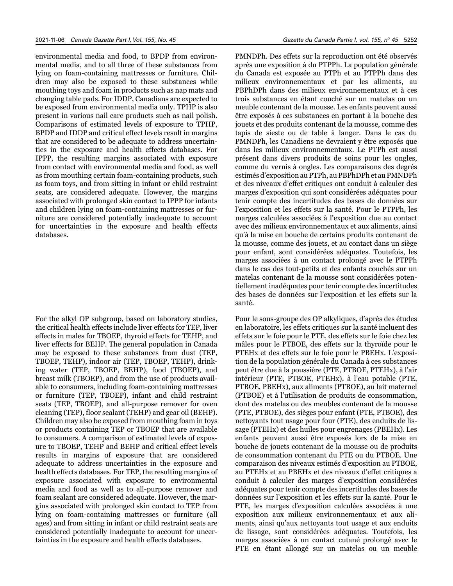environmental media and food, to BPDP from environmental media, and to all three of these substances from lying on foam-containing mattresses or furniture. Children may also be exposed to these substances while mouthing toys and foam in products such as nap mats and changing table pads. For IDDP, Canadians are expected to be exposed from environmental media only. TPHP is also present in various nail care products such as nail polish. Comparisons of estimated levels of exposure to TPHP, BPDP and IDDP and critical effect levels result in margins that are considered to be adequate to address uncertainties in the exposure and health effects databases. For IPPP, the resulting margins associated with exposure from contact with environmental media and food, as well as from mouthing certain foam-containing products, such as foam toys, and from sitting in infant or child restraint seats, are considered adequate. However, the margins associated with prolonged skin contact to IPPP for infants and children lying on foam-containing mattresses or furniture are considered potentially inadequate to account for uncertainties in the exposure and health effects databases.

For the alkyl OP subgroup, based on laboratory studies, the critical health effects include liver effects for TEP, liver effects in males for TBOEP, thyroid effects for TEHP, and liver effects for BEHP. The general population in Canada may be exposed to these substances from dust (TEP, TBOEP, TEHP), indoor air (TEP, TBOEP, TEHP), drinking water (TEP, TBOEP, BEHP), food (TBOEP), and breast milk (TBOEP), and from the use of products available to consumers, including foam-containing mattresses or furniture (TEP, TBOEP), infant and child restraint seats (TEP, TBOEP), and all-purpose remover for oven cleaning (TEP), floor sealant (TEHP) and gear oil (BEHP). Children may also be exposed from mouthing foam in toys or products containing TEP or TBOEP that are available to consumers. A comparison of estimated levels of exposure to TBOEP, TEHP and BEHP and critical effect levels results in margins of exposure that are considered adequate to address uncertainties in the exposure and health effects databases. For TEP, the resulting margins of exposure associated with exposure to environmental media and food as well as to all-purpose remover and foam sealant are considered adequate. However, the margins associated with prolonged skin contact to TEP from lying on foam-containing mattresses or furniture (all ages) and from sitting in infant or child restraint seats are considered potentially inadequate to account for uncertainties in the exposure and health effects databases.

PMNDPh. Des effets sur la reproduction ont été observés après une exposition à du PTPPh. La population générale du Canada est exposée au PTPh et au PTPPh dans des milieux environnementaux et par les aliments, au PBPhDPh dans des milieux environnementaux et à ces trois substances en étant couché sur un matelas ou un meuble contenant de la mousse. Les enfants peuvent aussi être exposés à ces substances en portant à la bouche des jouets et des produits contenant de la mousse, comme des tapis de sieste ou de table à langer. Dans le cas du PMNDPh, les Canadiens ne devraient y être exposés que dans les milieux environnementaux. Le PTPh est aussi présent dans divers produits de soins pour les ongles, comme du vernis à ongles. Les comparaisons des degrés estimés d'exposition au PTPh, au PBPhDPh et au PMNDPh et des niveaux d'effet critiques ont conduit à calculer des marges d'exposition qui sont considérées adéquates pour tenir compte des incertitudes des bases de données sur l'exposition et les effets sur la santé. Pour le PTPPh, les marges calculées associées à l'exposition due au contact avec des milieux environnementaux et aux aliments, ainsi qu'à la mise en bouche de certains produits contenant de la mousse, comme des jouets, et au contact dans un siège pour enfant, sont considérées adéquates. Toutefois, les marges associées à un contact prolongé avec le PTPPh dans le cas des tout-petits et des enfants couchés sur un matelas contenant de la mousse sont considérées potentiellement inadéquates pour tenir compte des incertitudes des bases de données sur l'exposition et les effets sur la santé.

Pour le sous-groupe des OP alkyliques, d'après des études en laboratoire, les effets critiques sur la santé incluent des effets sur le foie pour le PTE, des effets sur le foie chez les mâles pour le PTBOE, des effets sur la thyroïde pour le PTEHx et des effets sur le foie pour le PBEHx. L'exposition de la population générale du Canada à ces substances peut être due à la poussière (PTE, PTBOE, PTEHx), à l'air intérieur (PTE, PTBOE, PTEHx), à l'eau potable (PTE, PTBOE, PBEHx), aux aliments (PTBOE), au lait maternel (PTBOE) et à l'utilisation de produits de consommation, dont des matelas ou des meubles contenant de la mousse (PTE, PTBOE), des sièges pour enfant (PTE, PTBOE), des nettoyants tout usage pour four (PTE), des enduits de lissage (PTEHx) et des huiles pour engrenages (PBEHx). Les enfants peuvent aussi être exposés lors de la mise en bouche de jouets contenant de la mousse ou de produits de consommation contenant du PTE ou du PTBOE. Une comparaison des niveaux estimés d'exposition au PTBOE, au PTEHx et au PBEHx et des niveaux d'effet critiques a conduit à calculer des marges d'exposition considérées adéquates pour tenir compte des incertitudes des bases de données sur l'exposition et les effets sur la santé. Pour le PTE, les marges d'exposition calculées associées à une exposition aux milieux environnementaux et aux aliments, ainsi qu'aux nettoyants tout usage et aux enduits de lissage, sont considérées adéquates. Toutefois, les marges associées à un contact cutané prolongé avec le PTE en étant allongé sur un matelas ou un meuble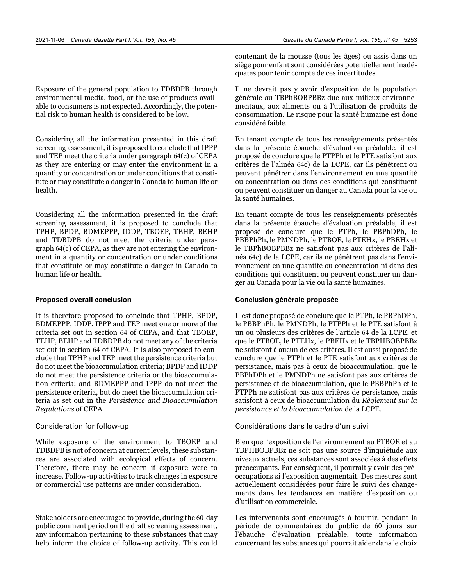Exposure of the general population to TDBDPB through environmental media, food, or the use of products available to consumers is not expected. Accordingly, the potential risk to human health is considered to be low.

Considering all the information presented in this draft screening assessment, it is proposed to conclude that IPPP and TEP meet the criteria under paragraph 64(c) of CEPA as they are entering or may enter the environment in a quantity or concentration or under conditions that constitute or may constitute a danger in Canada to human life or health.

Considering all the information presented in the draft screening assessment, it is proposed to conclude that TPHP, BPDP, BDMEPPP, IDDP, TBOEP, TEHP, BEHP and TDBDPB do not meet the criteria under paragraph 64(c) of CEPA, as they are not entering the environment in a quantity or concentration or under conditions that constitute or may constitute a danger in Canada to human life or health.

#### **Proposed overall conclusion**

It is therefore proposed to conclude that TPHP, BPDP, BDMEPPP, IDDP, IPPP and TEP meet one or more of the criteria set out in section 64 of CEPA, and that TBOEP, TEHP, BEHP and TDBDPB do not meet any of the criteria set out in section 64 of CEPA. It is also proposed to conclude that TPHP and TEP meet the persistence criteria but do not meet the bioaccumulation criteria; BPDP and IDDP do not meet the persistence criteria or the bioaccumulation criteria; and BDMEPPP and IPPP do not meet the persistence criteria, but do meet the bioaccumulation criteria as set out in the *Persistence and Bioaccumulation Regulations* of CEPA.

#### Consideration for follow-up

While exposure of the environment to TBOEP and TDBDPB is not of concern at current levels, these substances are associated with ecological effects of concern. Therefore, there may be concern if exposure were to increase. Follow-up activities to track changes in exposure or commercial use patterns are under consideration.

Stakeholders are encouraged to provide, during the 60-day public comment period on the draft screening assessment, any information pertaining to these substances that may help inform the choice of follow-up activity. This could

contenant de la mousse (tous les âges) ou assis dans un siège pour enfant sont considérées potentiellement inadéquates pour tenir compte de ces incertitudes.

Il ne devrait pas y avoir d'exposition de la population générale au TBPhBOBPBBz due aux milieux environnementaux, aux aliments ou à l'utilisation de produits de consommation. Le risque pour la santé humaine est donc considéré faible.

En tenant compte de tous les renseignements présentés dans la présente ébauche d'évaluation préalable, il est proposé de conclure que le PTPPh et le PTE satisfont aux critères de l'alinéa 64c) de la LCPE, car ils pénètrent ou peuvent pénétrer dans l'environnement en une quantité ou concentration ou dans des conditions qui constituent ou peuvent constituer un danger au Canada pour la vie ou la santé humaines.

En tenant compte de tous les renseignements présentés dans la présente ébauche d'évaluation préalable, il est proposé de conclure que le PTPh, le PBPhDPh, le PBBPhPh, le PMNDPh, le PTBOE, le PTEHx, le PBEHx et le TBPhBOBPBBz ne satisfont pas aux critères de l'alinéa 64c) de la LCPE, car ils ne pénètrent pas dans l'environnement en une quantité ou concentration ni dans des conditions qui constituent ou peuvent constituer un danger au Canada pour la vie ou la santé humaines.

#### **Conclusion générale proposée**

Il est donc proposé de conclure que le PTPh, le PBPhDPh, le PBBPhPh, le PMNDPh, le PTPPh et le PTE satisfont à un ou plusieurs des critères de l'article 64 de la LCPE, et que le PTBOE, le PTEHx, le PBEHx et le TBPHBOBPBBz ne satisfont à aucun de ces critères. Il est aussi proposé de conclure que le PTPh et le PTE satisfont aux critères de persistance, mais pas à ceux de bioaccumulation, que le PBPhDPh et le PMNDPh ne satisfont pas aux critères de persistance et de bioaccumulation, que le PBBPhPh et le PTPPh ne satisfont pas aux critères de persistance, mais satisfont à ceux de bioaccumulation du *Règlement sur la persistance et la bioaccumulation* de la LCPE*.*

Considérations dans le cadre d'un suivi

Bien que l'exposition de l'environnement au PTBOE et au TBPHBOBPBBz ne soit pas une source d'inquiétude aux niveaux actuels, ces substances sont associées à des effets préoccupants. Par conséquent, il pourrait y avoir des préoccupations si l'exposition augmentait. Des mesures sont actuellement considérées pour faire le suivi des changements dans les tendances en matière d'exposition ou d'utilisation commerciale.

Les intervenants sont encouragés à fournir, pendant la période de commentaires du public de 60 jours sur l'ébauche d'évaluation préalable, toute information concernant les substances qui pourrait aider dans le choix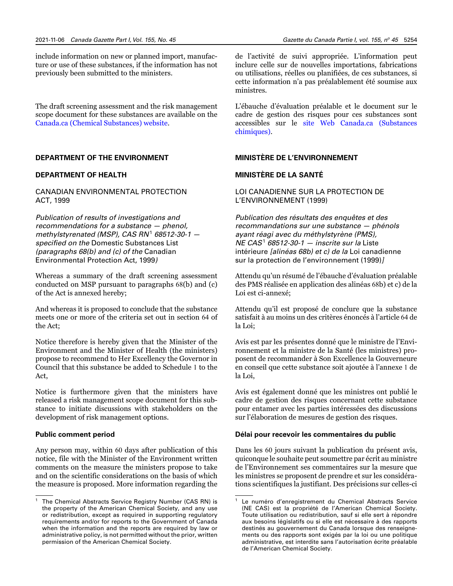include information on new or planned import, manufacture or use of these substances, if the information has not previously been submitted to the ministers.

The draft screening assessment and the risk management scope document for these substances are available on the [Canada.ca \(Chemical Substances\) website.](https://www.canada.ca/en/health-canada/services/chemical-substances/latest-news.html)

#### **DEPARTMENT OF THE ENVIRONMENT**

#### **DEPARTMENT OF HEALTH**

CANADIAN ENVIRONMENTAL PROTECTION ACT, 1999

*Publication of results of investigations and recommendations for a substance — phenol, methylstyrenated (MSP), CAS RN*<sup>1</sup>  *68512-30-1 specified on the* Domestic Substances List *(paragraphs 68(b) and (c) of the* Canadian Environmental Protection Act, 1999*)*

Whereas a summary of the draft screening assessment conducted on MSP pursuant to paragraphs 68(b) and (c) of the Act is annexed hereby;<sup>1</sup>

And whereas it is proposed to conclude that the substance meets one or more of the criteria set out in section 64 of the Act;

Notice therefore is hereby given that the Minister of the Environment and the Minister of Health (the ministers) propose to recommend to Her Excellency the Governor in Council that this substance be added to Schedule 1 to the Act,

Notice is furthermore given that the ministers have released a risk management scope document for this substance to initiate discussions with stakeholders on the development of risk management options.

#### **Public comment period**

Any person may, within 60 days after publication of this notice, file with the Minister of the Environment written comments on the measure the ministers propose to take and on the scientific considerations on the basis of which the measure is proposed. More information regarding the

de l'activité de suivi appropriée. L'information peut inclure celle sur de nouvelles importations, fabrications ou utilisations, réelles ou planifiées, de ces substances, si cette information n'a pas préalablement été soumise aux ministres.

L'ébauche d'évaluation préalable et le document sur le cadre de gestion des risques pour ces substances sont accessibles sur le [site Web Canada.ca \(Substances](https://www.canada.ca/fr/sante-canada/services/substances-chimiques/dernieres-nouvelles.html)  [chimiques\).](https://www.canada.ca/fr/sante-canada/services/substances-chimiques/dernieres-nouvelles.html)

#### **MINISTÈRE DE L'ENVIRONNEMENT**

#### **MINISTÈRE DE LA SANTÉ**

LOI CANADIENNE SUR LA PROTECTION DE L'ENVIRONNEMENT (1999)

*Publication des résultats des enquêtes et des recommandations sur une substance — phénols ayant réagi avec du méthylstyrène (PMS), NE CAS*<sup>1</sup>  *68512-30-1 — inscrite sur la* Liste intérieure *[alinéas 68b) et c) de la* Loi canadienne sur la protection de l'environnement (1999)*]*

Attendu qu'un résumé de l'ébauche d'évaluation préalable des PMS réalisée en application des alinéas 68b) et c) de la Loi est ci-annexé;

Attendu qu'il est proposé de conclure que la substance satisfait à au moins un des critères énoncés à l'article 64 de la Loi;

Avis est par les présentes donné que le ministre de l'Environnement et la ministre de la Santé (les ministres) proposent de recommander à Son Excellence la Gouverneure en conseil que cette substance soit ajoutée à l'annexe 1 de la Loi,

Avis est également donné que les ministres ont publié le cadre de gestion des risques concernant cette substance pour entamer avec les parties intéressées des discussions sur l'élaboration de mesures de gestion des risques.

#### **Délai pour recevoir les commentaires du public**

Dans les 60 jours suivant la publication du présent avis, quiconque le souhaite peut soumettre par écrit au ministre de l'Environnement ses commentaires sur la mesure que les ministres se proposent de prendre et sur les considérations scientifiques la justifiant. Des précisions sur celles-ci

The Chemical Abstracts Service Registry Number (CAS RN) is the property of the American Chemical Society, and any use or redistribution, except as required in supporting regulatory requirements and/or for reports to the Government of Canada when the information and the reports are required by law or administrative policy, is not permitted without the prior, written permission of the American Chemical Society.

<sup>1</sup> Le numéro d'enregistrement du Chemical Abstracts Service (NE CAS) est la propriété de l'American Chemical Society. Toute utilisation ou redistribution, sauf si elle sert à répondre aux besoins législatifs ou si elle est nécessaire à des rapports destinés au gouvernement du Canada lorsque des renseignements ou des rapports sont exigés par la loi ou une politique administrative, est interdite sans l'autorisation écrite préalable de l'American Chemical Society.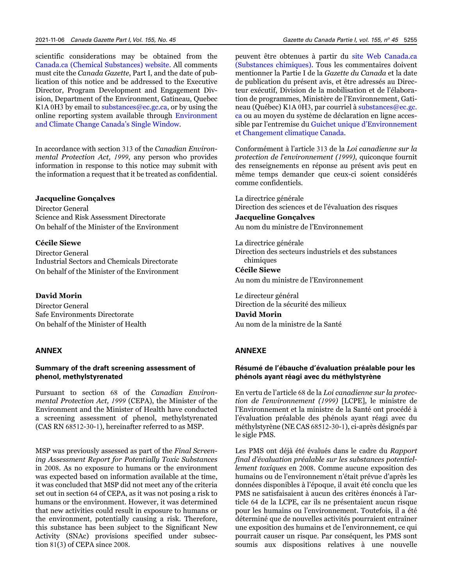scientific considerations may be obtained from the [Canada.ca \(Chemical Substances\) website.](https://www.canada.ca/en/health-canada/services/chemical-substances.html) All comments must cite the *Canada Gazette*, Part I, and the date of publication of this notice and be addressed to the Executive Director, Program Development and Engagement Division, Department of the Environment, Gatineau, Quebec K1A 0H3 by email to [substances@ec.gc.ca](mailto:substances%40ec.gc.ca?subject=), or by using the online reporting system available through [Environment](https://ec.ss.ec.gc.ca/en/cs?&GAURI=https://ec.ss.ec.gc.ca/auth/%7bl2%7d,https://ec.ss.ec.gc.ca/auth/en?&GAREASONCODE=-1&GARESOURCEID=ecssecgccanewp1&Reason=-1&APPID=ecssecgccanewp1&URI=https://ec.ss.ec.gc.ca/auth/en?) [and Climate Change Canada's Single Window](https://ec.ss.ec.gc.ca/en/cs?&GAURI=https://ec.ss.ec.gc.ca/auth/%7bl2%7d,https://ec.ss.ec.gc.ca/auth/en?&GAREASONCODE=-1&GARESOURCEID=ecssecgccanewp1&Reason=-1&APPID=ecssecgccanewp1&URI=https://ec.ss.ec.gc.ca/auth/en?).

In accordance with section 313 of the *Canadian Environmental Protection Act, 1999*, any person who provides information in response to this notice may submit with the information a request that it be treated as confidential.

#### **Jacqueline Gonçalves**

Director General Science and Risk Assessment Directorate On behalf of the Minister of the Environment

#### **Cécile Siewe**

Director General Industrial Sectors and Chemicals Directorate On behalf of the Minister of the Environment

#### **David Morin**

Director General Safe Environments Directorate On behalf of the Minister of Health

#### **ANNEX**

#### **Summary of the draft screening assessment of phenol, methylstyrenated**

Pursuant to section 68 of the *Canadian Environmental Protection Act, 1999* (CEPA), the Minister of the Environment and the Minister of Health have conducted a screening assessment of phenol, methylstyrenated (CAS RN 68512-30-1), hereinafter referred to as MSP.

MSP was previously assessed as part of the *Final Screening Assessment Report for Potentially Toxic Substances* in 2008. As no exposure to humans or the environment was expected based on information available at the time, it was concluded that MSP did not meet any of the criteria set out in section 64 of CEPA, as it was not posing a risk to humans or the environment. However, it was determined that new activities could result in exposure to humans or the environment, potentially causing a risk. Therefore, this substance has been subject to the Significant New Activity (SNAc) provisions specified under subsection 81(3) of CEPA since 2008.

peuvent être obtenues à partir du [site Web Canada.ca](https://www.canada.ca/fr/sante-canada/services/substances-chimiques/dernieres-nouvelles.html)  [\(Substances chimiques\).](https://www.canada.ca/fr/sante-canada/services/substances-chimiques/dernieres-nouvelles.html) Tous les commentaires doivent mentionner la Partie I de la *Gazette du Canada* et la date de publication du présent avis, et être adressés au Directeur exécutif, Division de la mobilisation et de l'élaboration de programmes, Ministère de l'Environnement, Gatineau (Québec) K1A 0H3, par courriel à [substances@ec.gc.](mailto:substances%40ec.gc.ca?subject=) [ca](mailto:substances%40ec.gc.ca?subject=) ou au moyen du système de déclaration en ligne accessible par l'entremise du [Guichet unique d'Environnement](https://ec.ss.ec.gc.ca/fr/cs?&GAURI=https://ec.ss.ec.gc.ca/auth/%7bl2%7d,https://ec.ss.ec.gc.ca/auth/fr?&GAREASONCODE=-1&GARESOURCEID=ecssecgccanewp1&Reason=-1&APPID=ecssecgccanewp1&URI=https://ec.ss.ec.gc.ca/auth/fr?)  [et Changement climatique Canada](https://ec.ss.ec.gc.ca/fr/cs?&GAURI=https://ec.ss.ec.gc.ca/auth/%7bl2%7d,https://ec.ss.ec.gc.ca/auth/fr?&GAREASONCODE=-1&GARESOURCEID=ecssecgccanewp1&Reason=-1&APPID=ecssecgccanewp1&URI=https://ec.ss.ec.gc.ca/auth/fr?).

Conformément à l'article 313 de la *Loi canadienne sur la protection de l'environnement (1999)*, quiconque fournit des renseignements en réponse au présent avis peut en même temps demander que ceux-ci soient considérés comme confidentiels.

La directrice générale Direction des sciences et de l'évaluation des risques **Jacqueline Gonçalves**

Au nom du ministre de l'Environnement

La directrice générale Direction des secteurs industriels et des substances chimiques

**Cécile Siewe**  Au nom du ministre de l'Environnement

Le directeur général Direction de la sécurité des milieux **David Morin**

Au nom de la ministre de la Santé

#### **ANNEXE**

#### **Résumé de l'ébauche d'évaluation préalable pour les phénols ayant réagi avec du méthylstyrène**

En vertu de l'article 68 de la *Loi canadienne sur la protection de l'environnement (1999)* [LCPE], le ministre de l'Environnement et la ministre de la Santé ont procédé à l'évaluation préalable des phénols ayant réagi avec du méthylstyrène (NE CAS 68512-30-1), ci-après désignés par le sigle PMS.

Les PMS ont déjà été évalués dans le cadre du *Rapport final d'évaluation préalable sur les substances potentiellement toxiques* en 2008. Comme aucune exposition des humains ou de l'environnement n'était prévue d'après les données disponibles à l'époque, il avait été conclu que les PMS ne satisfaisaient à aucun des critères énoncés à l'article 64 de la LCPE, car ils ne présentaient aucun risque pour les humains ou l'environnement. Toutefois, il a été déterminé que de nouvelles activités pourraient entraîner une exposition des humains et de l'environnement, ce qui pourrait causer un risque. Par conséquent, les PMS sont soumis aux dispositions relatives à une nouvelle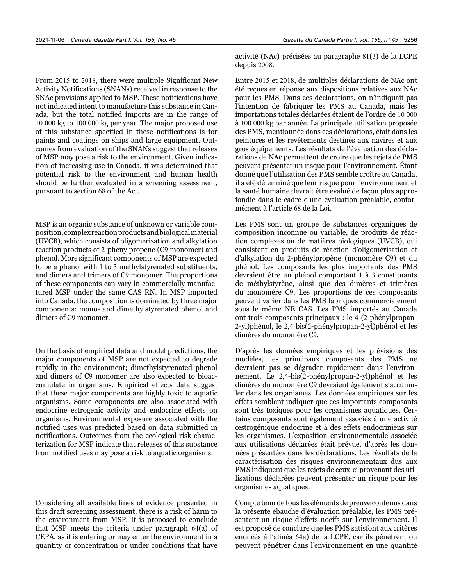From 2015 to 2018, there were multiple Significant New Activity Notifications (SNANs) received in response to the SNAc provisions applied to MSP. These notifications have not indicated intent to manufacture this substance in Canada, but the total notified imports are in the range of 10 000 kg to 100 000 kg per year. The major proposed use of this substance specified in these notifications is for paints and coatings on ships and large equipment. Outcomes from evaluation of the SNANs suggest that releases of MSP may pose a risk to the environment. Given indication of increasing use in Canada, it was determined that potential risk to the environment and human health should be further evaluated in a screening assessment, pursuant to section 68 of the Act.

MSP is an organic substance of unknown or variable composition, complex reaction products and biological material (UVCB), which consists of oligomerization and alkylation reaction products of 2-phenylpropene (C9 monomer) and phenol. More significant components of MSP are expected to be a phenol with 1 to 3 methylstyrenated substituents, and dimers and trimers of C9 monomer. The proportions of these components can vary in commercially manufactured MSP under the same CAS RN. In MSP imported into Canada, the composition is dominated by three major components: mono- and dimethylstyrenated phenol and dimers of C9 monomer.

On the basis of empirical data and model predictions, the major components of MSP are not expected to degrade rapidly in the environment; dimethylstyrenated phenol and dimers of C9 monomer are also expected to bioaccumulate in organisms. Empirical effects data suggest that these major components are highly toxic to aquatic organisms. Some components are also associated with endocrine estrogenic activity and endocrine effects on organisms. Environmental exposure associated with the notified uses was predicted based on data submitted in notifications. Outcomes from the ecological risk characterization for MSP indicate that releases of this substance from notified uses may pose a risk to aquatic organisms.

Considering all available lines of evidence presented in this draft screening assessment, there is a risk of harm to the environment from MSP. It is proposed to conclude that MSP meets the criteria under paragraph 64(a) of CEPA, as it is entering or may enter the environment in a quantity or concentration or under conditions that have

activité (NAc) précisées au paragraphe 81(3) de la LCPE depuis 2008.

Entre 2015 et 2018, de multiples déclarations de NAc ont été reçues en réponse aux dispositions relatives aux NAc pour les PMS. Dans ces déclarations, on n'indiquait pas l'intention de fabriquer les PMS au Canada, mais les importations totales déclarées étaient de l'ordre de 10 000 à 100 000 kg par année. La principale utilisation proposée des PMS, mentionnée dans ces déclarations, était dans les peintures et les revêtements destinés aux navires et aux gros équipements. Les résultats de l'évaluation des déclarations de NAc permettent de croire que les rejets de PMS peuvent présenter un risque pour l'environnement. Étant donné que l'utilisation des PMS semble croître au Canada, il a été déterminé que leur risque pour l'environnement et la santé humaine devrait être évalué de façon plus approfondie dans le cadre d'une évaluation préalable, conformément à l'article 68 de la Loi.

Les PMS sont un groupe de substances organiques de composition inconnue ou variable, de produits de réaction complexes ou de matières biologiques (UVCB), qui consistent en produits de réaction d'oligomérisation et d'alkylation du 2-phénylpropène (monomère C9) et du phénol. Les composants les plus importants des PMS devraient être un phénol comportant 1 à 3 constituants de méthylstyrène, ainsi que des dimères et trimères du monomère C9. Les proportions de ces composants peuvent varier dans les PMS fabriqués commercialement sous le même NE CAS. Les PMS importés au Canada ont trois composants principaux : le 4-(2-phénylpropan-2-yl)phénol, le 2,4 bis(2-phénylpropan-2-yl)phénol et les dimères du monomère C9.

D'après les données empiriques et les prévisions des modèles, les principaux composants des PMS ne devraient pas se dégrader rapidement dans l'environnement. Le 2,4-bis(2-phénylpropan-2-yl)phénol et les dimères du monomère C9 devraient également s'accumuler dans les organismes. Les données empiriques sur les effets semblent indiquer que ces importants composants sont très toxiques pour les organismes aquatiques. Certains composants sont également associés à une activité œstrogénique endocrine et à des effets endocriniens sur les organismes. L'exposition environnementale associée aux utilisations déclarées était prévue, d'après les données présentées dans les déclarations. Les résultats de la caractérisation des risques environnementaux dus aux PMS indiquent que les rejets de ceux-ci provenant des utilisations déclarées peuvent présenter un risque pour les organismes aquatiques.

Compte tenu de tous les éléments de preuve contenus dans la présente ébauche d'évaluation préalable, les PMS présentent un risque d'effets nocifs sur l'environnement. Il est proposé de conclure que les PMS satisfont aux critères énoncés à l'alinéa 64a) de la LCPE, car ils pénètrent ou peuvent pénétrer dans l'environnement en une quantité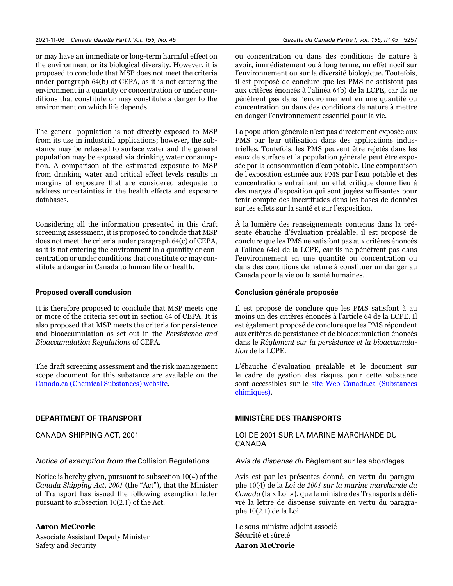or may have an immediate or long-term harmful effect on the environment or its biological diversity. However, it is proposed to conclude that MSP does not meet the criteria under paragraph 64(b) of CEPA, as it is not entering the environment in a quantity or concentration or under conditions that constitute or may constitute a danger to the environment on which life depends.

The general population is not directly exposed to MSP from its use in industrial applications; however, the substance may be released to surface water and the general population may be exposed via drinking water consumption. A comparison of the estimated exposure to MSP from drinking water and critical effect levels results in margins of exposure that are considered adequate to address uncertainties in the health effects and exposure databases.

Considering all the information presented in this draft screening assessment, it is proposed to conclude that MSP does not meet the criteria under paragraph 64(c) of CEPA, as it is not entering the environment in a quantity or concentration or under conditions that constitute or may constitute a danger in Canada to human life or health.

#### **Proposed overall conclusion**

It is therefore proposed to conclude that MSP meets one or more of the criteria set out in section 64 of CEPA. It is also proposed that MSP meets the criteria for persistence and bioaccumulation as set out in the *Persistence and Bioaccumulation Regulations* of CEPA.

The draft screening assessment and the risk management scope document for this substance are available on the [Canada.ca \(Chemical Substances\) website.](https://www.canada.ca/en/health-canada/services/chemical-substances/latest-news.html)

#### **DEPARTMENT OF TRANSPORT**

CANADA SHIPPING ACT, 2001

#### *Notice of exemption from the* Collision Regulations

Notice is hereby given, pursuant to subsection 10(4) of the *Canada Shipping Act, 2001* (the "Act"), that the Minister of Transport has issued the following exemption letter pursuant to subsection 10(2.1) of the Act.

#### **Aaron McCrorie**

Associate Assistant Deputy Minister Safety and Security

ou concentration ou dans des conditions de nature à avoir, immédiatement ou à long terme, un effet nocif sur l'environnement ou sur la diversité biologique. Toutefois, il est proposé de conclure que les PMS ne satisfont pas aux critères énoncés à l'alinéa 64b) de la LCPE, car ils ne pénètrent pas dans l'environnement en une quantité ou concentration ou dans des conditions de nature à mettre en danger l'environnement essentiel pour la vie.

La population générale n'est pas directement exposée aux PMS par leur utilisation dans des applications industrielles. Toutefois, les PMS peuvent être rejetés dans les eaux de surface et la population générale peut être exposée par la consommation d'eau potable. Une comparaison de l'exposition estimée aux PMS par l'eau potable et des concentrations entraînant un effet critique donne lieu à des marges d'exposition qui sont jugées suffisantes pour tenir compte des incertitudes dans les bases de données sur les effets sur la santé et sur l'exposition.

À la lumière des renseignements contenus dans la présente ébauche d'évaluation préalable, il est proposé de conclure que les PMS ne satisfont pas aux critères énoncés à l'alinéa 64c) de la LCPE, car ils ne pénètrent pas dans l'environnement en une quantité ou concentration ou dans des conditions de nature à constituer un danger au Canada pour la vie ou la santé humaines.

#### **Conclusion générale proposée**

Il est proposé de conclure que les PMS satisfont à au moins un des critères énoncés à l'article 64 de la LCPE. Il est également proposé de conclure que les PMS répondent aux critères de persistance et de bioaccumulation énoncés dans le *Règlement sur la persistance et la bioaccumulation* de la LCPE.

L'ébauche d'évaluation préalable et le document sur le cadre de gestion des risques pour cette substance sont accessibles sur le [site Web Canada.ca \(Substances](https://www.canada.ca/fr/sante-canada/services/substances-chimiques/dernieres-nouvelles.html)  [chimiques\).](https://www.canada.ca/fr/sante-canada/services/substances-chimiques/dernieres-nouvelles.html)

#### **MINISTÈRE DES TRANSPORTS**

LOI DE 2001 SUR LA MARINE MARCHANDE DU CANADA

*Avis de dispense du* Règlement sur les abordages

Avis est par les présentes donné, en vertu du paragraphe 10(4) de la *Loi de 2001 sur la marine marchande du Canada* (la « Loi »), que le ministre des Transports a délivré la lettre de dispense suivante en vertu du paragraphe 10(2.1) de la Loi.

Le sous-ministre adjoint associé Sécurité et sûreté **Aaron McCrorie**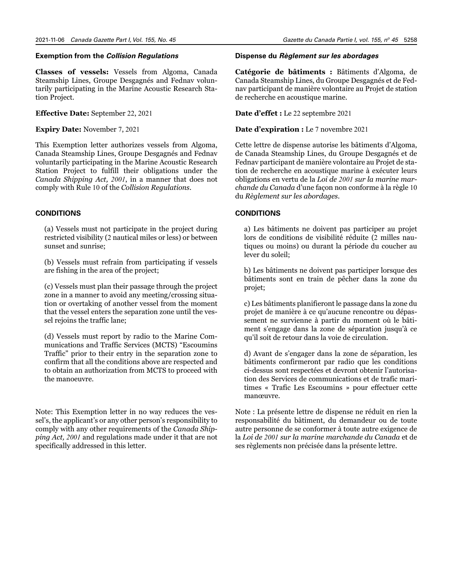#### **Exemption from the** *Collision Regulations*

**Classes of vessels:** Vessels from Algoma, Canada Steamship Lines, Groupe Desgagnés and Fednav voluntarily participating in the Marine Acoustic Research Station Project.

**Effective Date:** September 22, 2021

**Expiry Date:** November 7, 2021

This Exemption letter authorizes vessels from Algoma, Canada Steamship Lines, Groupe Desgagnés and Fednav voluntarily participating in the Marine Acoustic Research Station Project to fulfill their obligations under the *Canada Shipping Act, 2001*, in a manner that does not comply with Rule 10 of the *Collision Regulations*.

#### **CONDITIONS**

(a) Vessels must not participate in the project during restricted visibility (2 nautical miles or less) or between sunset and sunrise;

(b) Vessels must refrain from participating if vessels are fishing in the area of the project;

(c) Vessels must plan their passage through the project zone in a manner to avoid any meeting/crossing situation or overtaking of another vessel from the moment that the vessel enters the separation zone until the vessel rejoins the traffic lane;

(d) Vessels must report by radio to the Marine Communications and Traffic Services (MCTS) "Escoumins Traffic" prior to their entry in the separation zone to confirm that all the conditions above are respected and to obtain an authorization from MCTS to proceed with the manoeuvre.

Note: This Exemption letter in no way reduces the vessel's, the applicant's or any other person's responsibility to comply with any other requirements of the *Canada Shipping Act, 2001* and regulations made under it that are not specifically addressed in this letter.

#### **Dispense du** *Règlement sur les abordages*

**Catégorie de bâtiments :** Bâtiments d'Algoma, de Canada Steamship Lines, du Groupe Desgagnés et de Fednav participant de manière volontaire au Projet de station de recherche en acoustique marine.

**Date d'effet :** Le 22 septembre 2021

**Date d'expiration :** Le 7 novembre 2021

Cette lettre de dispense autorise les bâtiments d'Algoma, de Canada Steamship Lines, du Groupe Desgagnés et de Fednav participant de manière volontaire au Projet de station de recherche en acoustique marine à exécuter leurs obligations en vertu de la *Loi de 2001 sur la marine marchande du Canada* d'une façon non conforme à la règle 10 du *Règlement sur les abordages*.

#### **CONDITIONS**

a) Les bâtiments ne doivent pas participer au projet lors de conditions de visibilité réduite (2 milles nautiques ou moins) ou durant la période du coucher au lever du soleil;

b) Les bâtiments ne doivent pas participer lorsque des bâtiments sont en train de pêcher dans la zone du projet;

c) Les bâtiments planifieront le passage dans la zone du projet de manière à ce qu'aucune rencontre ou dépassement ne survienne à partir du moment où le bâtiment s'engage dans la zone de séparation jusqu'à ce qu'il soit de retour dans la voie de circulation.

d) Avant de s'engager dans la zone de séparation, les bâtiments confirmeront par radio que les conditions ci-dessus sont respectées et devront obtenir l'autorisation des Services de communications et de trafic maritimes « Trafic Les Escoumins » pour effectuer cette manœuvre.

Note : La présente lettre de dispense ne réduit en rien la responsabilité du bâtiment, du demandeur ou de toute autre personne de se conformer à toute autre exigence de la *Loi de 2001 sur la marine marchande du Canada* et de ses règlements non précisée dans la présente lettre.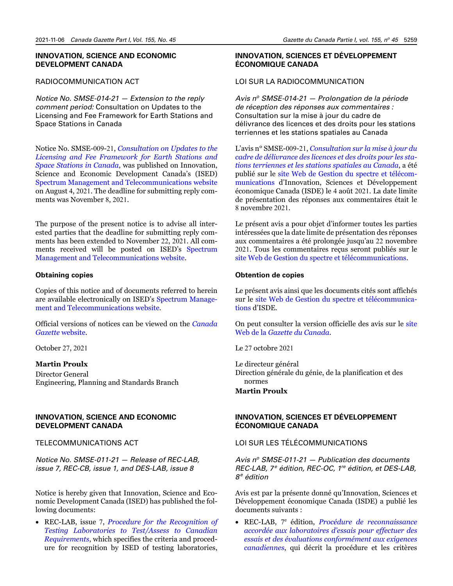#### **INNOVATION, SCIENCE AND ECONOMIC DEVELOPMENT CANADA**

#### RADIOCOMMUNICATION ACT

*Notice No. SMSE-014-21 — Extension to the reply comment period:* Consultation on Updates to the Licensing and Fee Framework for Earth Stations and Space Stations in Canada

Notice No. SMSE-009-21, *[Consultation on Updates to the](https://www.ic.gc.ca/eic/site/smt-gst.nsf/eng/sf11723.html)  [Licensing and Fee Framework for Earth Stations and](https://www.ic.gc.ca/eic/site/smt-gst.nsf/eng/sf11723.html)  [Space Stations in Canada](https://www.ic.gc.ca/eic/site/smt-gst.nsf/eng/sf11723.html)*, was published on Innovation, Science and Economic Development Canada's (ISED) [Spectrum Management and Telecommunications website](http://www.ic.gc.ca/eic/site/smt-gst.nsf/eng/home) on August 4, 2021. The deadline for submitting reply comments was November 8, 2021.

The purpose of the present notice is to advise all interested parties that the deadline for submitting reply comments has been extended to November 22, 2021. All comments received will be posted on ISED's [Spectrum](http://www.ic.gc.ca/eic/site/smt-gst.nsf/eng/home)  [Management and Telecommunications website.](http://www.ic.gc.ca/eic/site/smt-gst.nsf/eng/home)

#### **Obtaining copies**

Copies of this notice and of documents referred to herein are available electronically on ISED's [Spectrum Manage](http://www.ised.gc.ca/spectrum)[ment and Telecommunications](http://www.ised.gc.ca/spectrum) website.

Official versions of notices can be viewed on the *[Canada](http://www.gazette.gc.ca/rp-pr/publications-eng.html) [Gazette](http://www.gazette.gc.ca/rp-pr/publications-eng.html)* [website](http://www.gazette.gc.ca/rp-pr/publications-eng.html).

October 27, 2021

#### **Martin Proulx**

Director General Engineering, Planning and Standards Branch

#### **INNOVATION, SCIENCE AND ECONOMIC DEVELOPMENT CANADA**

TELECOMMUNICATIONS ACT

*Notice No. SMSE-011-21 — Release of REC-LAB, issue 7, REC-CB, issue 1, and DES-LAB, issue 8*

Notice is hereby given that Innovation, Science and Economic Development Canada (ISED) has published the following documents:

• REC-LAB, issue 7, *[Procedure for the Recognition of](https://www.ic.gc.ca/eic/site/smt-gst.nsf/eng/sf05259.html) [Testing Laboratories to Test/Assess to Canadian](https://www.ic.gc.ca/eic/site/smt-gst.nsf/eng/sf05259.html)  [Requirements](https://www.ic.gc.ca/eic/site/smt-gst.nsf/eng/sf05259.html)*, which specifies the criteria and procedure for recognition by ISED of testing laboratories,

#### **INNOVATION, SCIENCES ET DÉVELOPPEMENT ÉCONOMIQUE CANADA**

#### LOI SUR LA RADIOCOMMUNICATION

*Avis no SMSE-014-21 — Prolongation de la période de réception des réponses aux commentaires :*  Consultation sur la mise à jour du cadre de délivrance des licences et des droits pour les stations terriennes et les stations spatiales au Canada

L'avis n° SMSE-009-21, *[Consultation sur la mise à jour du](https://www.ic.gc.ca/eic/site/smt-gst.nsf/fra/sf11723.html)  [cadre de délivrance des licences et des droits pour les sta](https://www.ic.gc.ca/eic/site/smt-gst.nsf/fra/sf11723.html)[tions terriennes et les stations spatiales au Canada](https://www.ic.gc.ca/eic/site/smt-gst.nsf/fra/sf11723.html)*, a été publié sur le [site Web de Gestion du spectre et télécom](http://www.ic.gc.ca/eic/site/smt-gst.nsf/fra/accueil)[munications](http://www.ic.gc.ca/eic/site/smt-gst.nsf/fra/accueil) d'Innovation, Sciences et Développement économique Canada (ISDE) le 4 août 2021. La date limite de présentation des réponses aux commentaires était le 8 novembre 2021.

Le présent avis a pour objet d'informer toutes les parties intéressées que la date limite de présentation des réponses aux commentaires a été prolongée jusqu'au 22 novembre 2021. Tous les commentaires reçus seront publiés sur le [site Web de Gestion du spectre et télécommunications](http://www.ic.gc.ca/eic/site/smt-gst.nsf/fra/accueil).

#### **Obtention de copies**

Le présent avis ainsi que les documents cités sont affichés sur le [site Web de Gestion du spectre et télécommunica](https://www.ic.gc.ca/eic/site/smt-gst.nsf/fra/accueil)[tions](https://www.ic.gc.ca/eic/site/smt-gst.nsf/fra/accueil) d'ISDE.

On peut consulter la version officielle des avis sur le site [Web de la](http://www.gazette.gc.ca/rp-pr/publications-fra.html) *[Gazette du Canada](http://www.gazette.gc.ca/rp-pr/publications-fra.html)*.

Le 27 octobre 2021

Le directeur général Direction générale du génie, de la planification et des normes **Martin Proulx**

#### **INNOVATION, SCIENCES ET DÉVELOPPEMENT ÉCONOMIQUE CANADA**

#### LOI SUR LES TÉLÉCOMMUNICATIONS

*Avis no SMSE-011-21 — Publication des documents REC-LAB, 7<sup>e</sup> édition, REC-OC, 1re édition, et DES-LAB, 8e édition*

Avis est par la présente donné qu'Innovation, Sciences et Développement économique Canada (ISDE) a publié les documents suivants :

• REC-LAB, 7<sup>e</sup> édition, *[Procédure de reconnaissance](https://www.ic.gc.ca/eic/site/smt-gst.nsf/fra/sf05259.html) accordée aux laboratoires d'essais pour effectuer des [essais et des évaluations conformément aux exigences](https://www.ic.gc.ca/eic/site/smt-gst.nsf/fra/sf05259.html) [canadiennes](https://www.ic.gc.ca/eic/site/smt-gst.nsf/fra/sf05259.html)*, qui décrit la procédure et les critères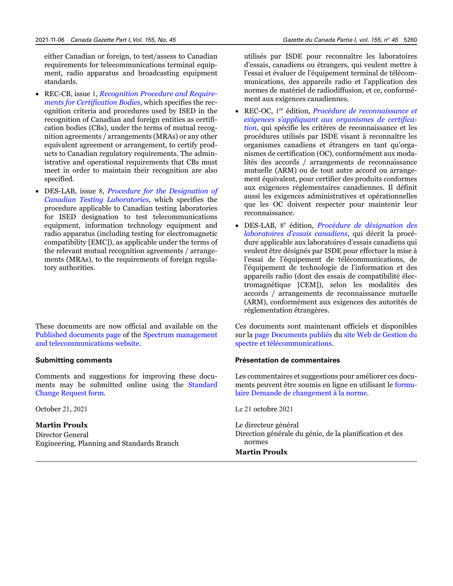either Canadian or foreign, to test/assess to Canadian requirements for telecommunications terminal equipment, radio apparatus and broadcasting equipment standards.

- REC-CB, issue 1, *[Recognition Procedure and Require](https://www.ic.gc.ca/eic/site/smt-gst.nsf/eng/sf05616.html)[ments for Certification Bodies](https://www.ic.gc.ca/eic/site/smt-gst.nsf/eng/sf05616.html)*, which specifies the recognition criteria and procedures used by ISED in the recognition of Canadian and foreign entities as certification bodies (CBs), under the terms of mutual recognition agreements / arrangements (MRAs) or any other equivalent agreement or arrangement, to certify products to Canadian regulatory requirements. The administrative and operational requirements that CBs must meet in order to maintain their recognition are also specified.
- DES-LAB, issue 8, *[Procedure for the Designation of](https://www.ic.gc.ca/eic/site/smt-gst.nsf/eng/sf01750.html)  [Canadian Testing Laboratories](https://www.ic.gc.ca/eic/site/smt-gst.nsf/eng/sf01750.html)*, which specifies the procedure applicable to Canadian testing laboratories for ISED designation to test telecommunications equipment, information technology equipment and radio apparatus (including testing for electromagnetic compatibility [EMC]), as applicable under the terms of the relevant mutual recognition agreements / arrangements (MRAs), to the requirements of foreign regulatory authorities.

These documents are now official and available on the [Published documents page](https://www.ic.gc.ca/eic/site/smt-gst.nsf/eng/h_sf10780.html) of the [Spectrum management](https://www.ic.gc.ca/eic/site/smt-gst.nsf/eng/home)  [and telecommunications website.](https://www.ic.gc.ca/eic/site/smt-gst.nsf/eng/home)

#### **Submitting comments**

Comments and suggestions for improving these documents may be submitted online using the [Standard](http://www.ic.gc.ca/eic/site/ceb-bhst.nsf/frm-eng/EABV-9VCLQJ) [Change Request form](http://www.ic.gc.ca/eic/site/ceb-bhst.nsf/frm-eng/EABV-9VCLQJ).

October 21, 2021

**Martin Proulx** Director General Engineering, Planning and Standards Branch

utilisés par ISDE pour reconnaître les laboratoires d'essais, canadiens ou étrangers, qui veulent mettre à l'essai et évaluer de l'équipement terminal de télécommunications, des appareils radio et l'application des normes de matériel de radiodiffusion, et ce, conformément aux exigences canadiennes.

- REC-OC, 1re édition, *[Procédure de reconnaissance et](https://www.ic.gc.ca/eic/site/smt-gst.nsf/fra/sf05616.html) [exigences s'appliquant aux organismes de certifica](https://www.ic.gc.ca/eic/site/smt-gst.nsf/fra/sf05616.html)[tion](https://www.ic.gc.ca/eic/site/smt-gst.nsf/fra/sf05616.html)*, qui spécifie les critères de reconnaissance et les procédures utilisés par ISDE visant à reconnaître les organismes canadiens et étrangers en tant qu'organismes de certification (OC), conformément aux modalités des accords / arrangements de reconnaissance mutuelle (ARM) ou de tout autre accord ou arrangement équivalent, pour certifier des produits conformes aux exigences réglementaires canadiennes. Il définit aussi les exigences administratives et opérationnelles que les OC doivent respecter pour maintenir leur reconnaissance.
- DES-LAB, 8<sup>e</sup> édition, *[Procédure de désignation des](https://www.ic.gc.ca/eic/site/smt-gst.nsf/fra/sf01750.html)  [laboratoires d'essais canadiens](https://www.ic.gc.ca/eic/site/smt-gst.nsf/fra/sf01750.html)*, qui décrit la procédure applicable aux laboratoires d'essais canadiens qui veulent être désignés par ISDE pour effectuer la mise à l'essai de l'équipement de télécommunications, de l'équipement de technologie de l'information et des appareils radio (dont des essais de compatibilité électromagnétique [CEM]), selon les modalités des accords / arrangements de reconnaissance mutuelle (ARM), conformément aux exigences des autorités de réglementation étrangères.

Ces documents sont maintenant officiels et disponibles sur la [page Documents publiés](https://www.ic.gc.ca/eic/site/smt-gst.nsf/fra/h_sf10780.html) du [site Web de Gestion du](https://www.ic.gc.ca/eic/site/smt-gst.nsf/fra/accueil)  [spectre et télécommunications.](https://www.ic.gc.ca/eic/site/smt-gst.nsf/fra/accueil)

#### **Présentation de commentaires**

Les commentaires et suggestions pour améliorer ces documents peuvent être soumis en ligne en utilisant le [formu](http://www.ic.gc.ca/changement_nmr)[laire Demande de changement à la norme](http://www.ic.gc.ca/changement_nmr).

Le 21 octobre 2021

Le directeur général Direction générale du génie, de la planification et des normes **Martin Proulx**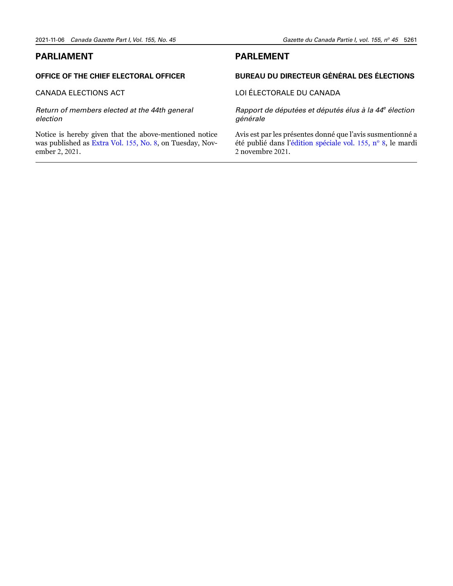# <span id="page-20-0"></span>**PARLIAMENT**

#### **OFFICE OF THE CHIEF ELECTORAL OFFICER**

#### CANADA ELECTIONS ACT

#### *Return of members elected at the 44th general election*

Notice is hereby given that the above-mentioned notice was published as [Extra Vol.](https://gazette.gc.ca/rp-pr/p1/2021/2021-11-02-x8/html/extra8-eng.html) 155, No. 8, on Tuesday, November 2, 2021.

# **PARLEMENT**

#### **BUREAU DU DIRECTEUR GÉNÉRAL DES ÉLECTIONS**

LOI ÉLECTORALE DU CANADA

*Rapport de députées et députés élus à la 44e élection générale*

Avis est par les présentes donné que l'avis susmentionné a été publié dans l['édition spéciale vol.](https://gazette.gc.ca/rp-pr/p1/2021/2021-11-02-x8/html/extra8-fra.html) 155, n° 8, le mardi 2 novembre 2021.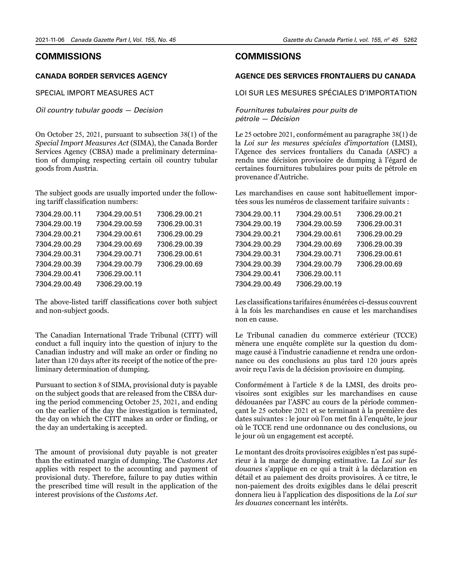#### <span id="page-21-0"></span>**COMMISSIONS**

#### **CANADA BORDER SERVICES AGENCY**

SPECIAL IMPORT MEASURES ACT

*Oil country tubular goods — Decision*

On October 25, 2021, pursuant to subsection 38(1) of the *Special Import Measures Act* (SIMA), the Canada Border Services Agency (CBSA) made a preliminary determination of dumping respecting certain oil country tubular goods from Austria.

The subject goods are usually imported under the following tariff classification numbers:

| 7304.29.00.51 | 7306.29.00.21 |
|---------------|---------------|
| 7304.29.00.59 | 7306.29.00.31 |
| 7304.29.00.61 | 7306.29.00.29 |
| 7304.29.00.69 | 7306.29.00.39 |
| 7304.29.00.71 | 7306.29.00.61 |
| 7304.29.00.79 | 7306.29.00.69 |
| 7306.29.00.11 |               |
| 7306.29.00.19 |               |
|               |               |

The above-listed tariff classifications cover both subject and non-subject goods.

The Canadian International Trade Tribunal (CITT) will conduct a full inquiry into the question of injury to the Canadian industry and will make an order or finding no later than 120 days after its receipt of the notice of the preliminary determination of dumping.

Pursuant to section 8 of SIMA, provisional duty is payable on the subject goods that are released from the CBSA during the period commencing October 25, 2021, and ending on the earlier of the day the investigation is terminated, the day on which the CITT makes an order or finding, or the day an undertaking is accepted.

The amount of provisional duty payable is not greater than the estimated margin of dumping. The *Customs Act* applies with respect to the accounting and payment of provisional duty. Therefore, failure to pay duties within the prescribed time will result in the application of the interest provisions of the *Customs Act*.

#### **COMMISSIONS**

#### **AGENCE DES SERVICES FRONTALIERS DU CANADA**

LOI SUR LES MESURES SPÉCIALES D'IMPORTATION

#### *Fournitures tubulaires pour puits de pétrole — Décision*

Le 25 octobre 2021, conformément au paragraphe 38(1) de la *Loi sur les mesures spéciales d'importation* (LMSI), l'Agence des services frontaliers du Canada (ASFC) a rendu une décision provisoire de dumping à l'égard de certaines fournitures tubulaires pour puits de pétrole en provenance d'Autriche.

Les marchandises en cause sont habituellement importées sous les numéros de classement tarifaire suivants :

| 7304.29.00.11 | 7304.29.00.51 | 7306.29.00.21 |
|---------------|---------------|---------------|
| 7304.29.00.19 | 7304.29.00.59 | 7306.29.00.31 |
| 7304.29.00.21 | 7304.29.00.61 | 7306.29.00.29 |
| 7304.29.00.29 | 7304.29.00.69 | 7306.29.00.39 |
| 7304.29.00.31 | 7304.29.00.71 | 7306.29.00.61 |
| 7304.29.00.39 | 7304.29.00.79 | 7306.29.00.69 |
| 7304.29.00.41 | 7306.29.00.11 |               |
| 7304.29.00.49 | 7306.29.00.19 |               |

Les classifications tarifaires énumérées ci-dessus couvrent à la fois les marchandises en cause et les marchandises non en cause.

Le Tribunal canadien du commerce extérieur (TCCE) mènera une enquête complète sur la question du dommage causé à l'industrie canadienne et rendra une ordonnance ou des conclusions au plus tard 120 jours après avoir reçu l'avis de la décision provisoire en dumping.

Conformément à l'article 8 de la LMSI, des droits provisoires sont exigibles sur les marchandises en cause dédouanées par l'ASFC au cours de la période commençant le 25 octobre 2021 et se terminant à la première des dates suivantes : le jour où l'on met fin à l'enquête, le jour où le TCCE rend une ordonnance ou des conclusions, ou le jour où un engagement est accepté.

Le montant des droits provisoires exigibles n'est pas supérieur à la marge de dumping estimative. La *Loi sur les douanes* s'applique en ce qui a trait à la déclaration en détail et au paiement des droits provisoires. À ce titre, le non-paiement des droits exigibles dans le délai prescrit donnera lieu à l'application des dispositions de la *Loi sur les douanes* concernant les intérêts.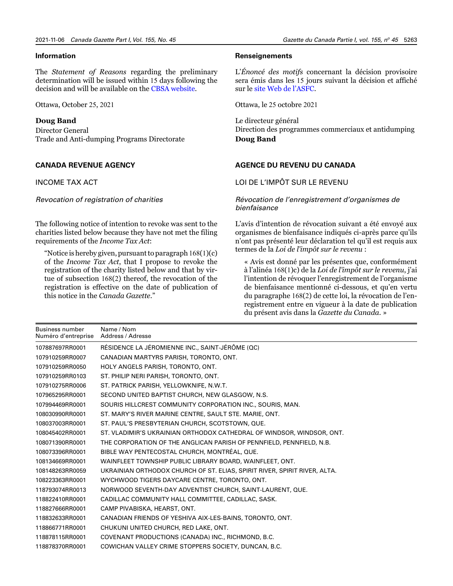#### **Information**

The *Statement of Reasons* regarding the preliminary determination will be issued within 15 days following the decision and will be available on the [CBSA website.](https://www.cbsa-asfc.gc.ca/sima-lmsi/)

Ottawa, October 25, 2021

#### **Doug Band**

Director General Trade and Anti-dumping Programs Directorate

#### **CANADA REVENUE AGENCY**

#### INCOME TAX ACT

*Revocation of registration of charities*

The following notice of intention to revoke was sent to the charities listed below because they have not met the filing requirements of the *Income Tax Act*:

"Notice is hereby given, pursuant to paragraph 168(1)(c) of the *Income Tax Act*, that I propose to revoke the registration of the charity listed below and that by virtue of subsection 168(2) thereof, the revocation of the registration is effective on the date of publication of this notice in the *Canada Gazette*."

#### **Renseignements**

L'*Énoncé des motifs* concernant la décision provisoire sera émis dans les 15 jours suivant la décision et affiché sur le [site Web de l'ASFC.](https://www.cbsa-asfc.gc.ca/sima-lmsi/menu-fra.html)

Ottawa, le 25 octobre 2021

Le directeur général Direction des programmes commerciaux et antidumping **Doug Band**

#### **AGENCE DU REVENU DU CANADA**

#### LOI DE L'IMPÔT SUR LE REVENU

#### *Révocation de l'enregistrement d'organismes de bienfaisance*

L'avis d'intention de révocation suivant a été envoyé aux organismes de bienfaisance indiqués ci-après parce qu'ils n'ont pas présenté leur déclaration tel qu'il est requis aux termes de la *Loi de l'impôt sur le revenu* :

« Avis est donné par les présentes que, conformément à l'alinéa 168(1)c) de la *Loi de l'impôt sur le revenu*, j'ai l'intention de révoquer l'enregistrement de l'organisme de bienfaisance mentionné ci-dessous, et qu'en vertu du paragraphe 168(2) de cette loi, la révocation de l'enregistrement entre en vigueur à la date de publication du présent avis dans la *Gazette du Canada*. »

| <b>Business number</b><br>Numéro d'entreprise | Name / Nom<br>Address / Adresse                                           |
|-----------------------------------------------|---------------------------------------------------------------------------|
| 107887697RR0001                               | RÉSIDENCE LA JÉROMIENNE INC., SAINT-JÉRÔME (QC)                           |
| 107910259RR0007                               | CANADIAN MARTYRS PARISH, TORONTO, ONT.                                    |
| 107910259RR0050                               | HOLY ANGELS PARISH, TORONTO, ONT.                                         |
| 107910259RR0103                               | ST. PHILIP NERI PARISH, TORONTO, ONT.                                     |
| 107910275RR0006                               | ST. PATRICK PARISH, YELLOWKNIFE, N.W.T.                                   |
| 107965295RR0001                               | SECOND UNITED BAPTIST CHURCH, NEW GLASGOW, N.S.                           |
| 107994469RR0001                               | SOURIS HILLCREST COMMUNITY CORPORATION INC., SOURIS, MAN.                 |
| 108030990RR0001                               | ST. MARY'S RIVER MARINE CENTRE, SAULT STE. MARIE, ONT.                    |
| 108037003RR0001                               | ST. PAUL'S PRESBYTERIAN CHURCH, SCOTSTOWN, QUE.                           |
| 108045402RR0001                               | ST. VLADIMIR'S UKRAINIAN ORTHODOX CATHEDRAL OF WINDSOR, WINDSOR, ONT.     |
| 108071390RR0001                               | THE CORPORATION OF THE ANGLICAN PARISH OF PENNFIELD, PENNFIELD, N.B.      |
| 108073396RR0001                               | BIBLE WAY PENTECOSTAL CHURCH, MONTRÉAL, QUE.                              |
| 108134669RR0001                               | WAINFLEET TOWNSHIP PUBLIC LIBRARY BOARD, WAINFLEET, ONT.                  |
| 108148263RR0059                               | UKRAINIAN ORTHODOX CHURCH OF ST. ELIAS, SPIRIT RIVER, SPIRIT RIVER, ALTA. |
| 108223363RR0001                               | WYCHWOOD TIGERS DAYCARE CENTRE, TORONTO, ONT.                             |
| 118793074RR0013                               | NORWOOD SEVENTH-DAY ADVENTIST CHURCH, SAINT-LAURENT, QUE.                 |
| 118822410RR0001                               | CADILLAC COMMUNITY HALL COMMITTEE, CADILLAC, SASK.                        |
| 118827666RR0001                               | CAMP PIVABISKA, HEARST, ONT.                                              |
| 118832633RR0001                               | CANADIAN FRIENDS OF YESHIVA AIX-LES-BAINS, TORONTO, ONT.                  |
| 118866771RR0001                               | CHUKUNI UNITED CHURCH, RED LAKE, ONT.                                     |
| 118878115RR0001                               | COVENANT PRODUCTIONS (CANADA) INC., RICHMOND, B.C.                        |
| 118878370RR0001                               | COWICHAN VALLEY CRIME STOPPERS SOCIETY, DUNCAN, B.C.                      |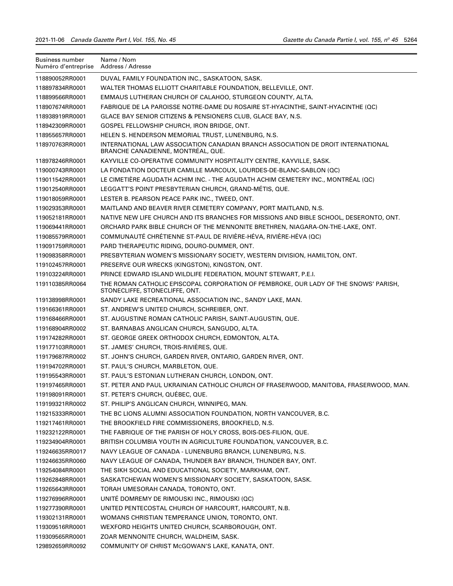| Business number<br>Numéro d'entreprise | Name / Nom<br>Address / Adresse                                                                                        |
|----------------------------------------|------------------------------------------------------------------------------------------------------------------------|
| 118890052RR0001                        | DUVAL FAMILY FOUNDATION INC., SASKATOON, SASK.                                                                         |
| 118897834RR0001                        | WALTER THOMAS ELLIOTT CHARITABLE FOUNDATION, BELLEVILLE, ONT.                                                          |
| 118899566RR0001                        | EMMAUS LUTHERAN CHURCH OF CALAHOO, STURGEON COUNTY, ALTA.                                                              |
| 118907674RR0001                        | FABRIQUE DE LA PAROISSE NOTRE-DAME DU ROSAIRE ST-HYACINTHE, SAINT-HYACINTHE (QC)                                       |
| 118938919RR0001                        | GLACE BAY SENIOR CITIZENS & PENSIONERS CLUB, GLACE BAY, N.S.                                                           |
| 118942309RR0001                        | GOSPEL FELLOWSHIP CHURCH, IRON BRIDGE, ONT.                                                                            |
| 118955657RR0001                        | HELEN S. HENDERSON MEMORIAL TRUST, LUNENBURG, N.S.                                                                     |
| 118970763RR0001                        | INTERNATIONAL LAW ASSOCIATION CANADIAN BRANCH ASSOCIATION DE DROIT INTERNATIONAL<br>BRANCHE CANADIENNE, MONTRÉAL, QUE. |
| 118978246RR0001                        | KAYVILLE CO-OPERATIVE COMMUNITY HOSPITALITY CENTRE, KAYVILLE, SASK.                                                    |
| 119000743RR0001                        | LA FONDATION DOCTEUR CAMILLE MARCOUX, LOURDES-DE-BLANC-SABLON (QC)                                                     |
| 119011542RR0001                        | LE CIMETIÈRE AGUDATH ACHIM INC. - THE AGUDATH ACHIM CEMETERY INC., MONTRÉAL (QC)                                       |
| 119012540RR0001                        | LEGGATT'S POINT PRESBYTERIAN CHURCH, GRAND-MÉTIS, QUE.                                                                 |
| 119018059RR0001                        | LESTER B. PEARSON PEACE PARK INC., TWEED, ONT.                                                                         |
| 119029353RR0001                        | MAITLAND AND BEAVER RIVER CEMETERY COMPANY, PORT MAITLAND, N.S.                                                        |
| 119052181RR0001                        | NATIVE NEW LIFE CHURCH AND ITS BRANCHES FOR MISSIONS AND BIBLE SCHOOL, DESERONTO, ONT.                                 |
| 119069441RR0001                        | ORCHARD PARK BIBLE CHURCH OF THE MENNONITE BRETHREN, NIAGARA-ON-THE-LAKE, ONT.                                         |
| 119085579RR0001                        | COMMUNAUTÉ CHRÉTIENNE ST-PAUL DE RIVIÈRE-HÉVA, RIVIÈRE-HÉVA (QC)                                                       |
| 119091759RR0001                        | PARD THERAPEUTIC RIDING, DOURO-DUMMER, ONT.                                                                            |
| 119098358RR0001                        | PRESBYTERIAN WOMEN'S MISSIONARY SOCIETY, WESTERN DIVISION, HAMILTON, ONT.                                              |
| 119102457RR0001                        | PRESERVE OUR WRECKS (KINGSTON), KINGSTON, ONT.                                                                         |
| 119103224RR0001                        | PRINCE EDWARD ISLAND WILDLIFE FEDERATION, MOUNT STEWART, P.E.I.                                                        |
| 119110385RR0064                        | THE ROMAN CATHOLIC EPISCOPAL CORPORATION OF PEMBROKE, OUR LADY OF THE SNOWS' PARISH,<br>STONECLIFFE, STONECLIFFE, ONT. |
| 119138998RR0001                        | SANDY LAKE RECREATIONAL ASSOCIATION INC., SANDY LAKE, MAN.                                                             |
| 119166361RR0001                        | ST. ANDREW'S UNITED CHURCH, SCHREIBER, ONT.                                                                            |
| 119168466RR0001                        | ST. AUGUSTINE ROMAN CATHOLIC PARISH, SAINT-AUGUSTIN, QUE.                                                              |
| 119168904RR0002                        | ST. BARNABAS ANGLICAN CHURCH, SANGUDO, ALTA.                                                                           |
| 119174282RR0001                        | ST. GEORGE GREEK ORTHODOX CHURCH, EDMONTON, ALTA.                                                                      |
| 119177103RR0001                        | ST. JAMES' CHURCH, TROIS-RIVIÈRES, QUE.                                                                                |
| 119179687RR0002                        | ST. JOHN'S CHURCH, GARDEN RIVER, ONTARIO, GARDEN RIVER, ONT.                                                           |
| 119194702RR0001                        | ST. PAUL'S CHURCH, MARBLETON, QUE.                                                                                     |
| 119195543RR0001                        | ST. PAUL'S ESTONIAN LUTHERAN CHURCH, LONDON, ONT.                                                                      |
| 119197465RR0001                        | ST. PETER AND PAUL UKRAINIAN CATHOLIC CHURCH OF FRASERWOOD, MANITOBA, FRASERWOOD, MAN.                                 |
| 119198091RR0001                        | ST. PETER'S CHURCH, QUÉBEC, QUE.                                                                                       |
| 119199321RR0002                        | ST. PHILIP'S ANGLICAN CHURCH, WINNIPEG, MAN.                                                                           |
| 119215333RR0001                        | THE BC LIONS ALUMNI ASSOCIATION FOUNDATION, NORTH VANCOUVER, B.C.                                                      |
| 119217461RR0001                        | THE BROOKFIELD FIRE COMMISSIONERS, BROOKFIELD, N.S.                                                                    |
| 119232122RR0001                        | THE FABRIQUE OF THE PARISH OF HOLY CROSS, BOIS-DES-FILION, QUE.                                                        |
| 119234904RR0001                        | BRITISH COLUMBIA YOUTH IN AGRICULTURE FOUNDATION, VANCOUVER, B.C.                                                      |
| 119246635RR0017                        | NAVY LEAGUE OF CANADA - LUNENBURG BRANCH, LUNENBURG, N.S.                                                              |
| 119246635RR0060                        | NAVY LEAGUE OF CANADA, THUNDER BAY BRANCH, THUNDER BAY, ONT.                                                           |
| 119254084RR0001                        | THE SIKH SOCIAL AND EDUCATIONAL SOCIETY, MARKHAM, ONT.                                                                 |
| 119262848RR0001                        | SASKATCHEWAN WOMEN'S MISSIONARY SOCIETY, SASKATOON, SASK.                                                              |
| 119265643RR0001                        | TORAH UMESORAH CANADA, TORONTO, ONT.                                                                                   |
| 119276996RR0001                        | UNITÉ DOMREMY DE RIMOUSKI INC., RIMOUSKI (QC)                                                                          |
| 119277390RR0001                        | UNITED PENTECOSTAL CHURCH OF HARCOURT, HARCOURT, N.B.                                                                  |
| 119302131RR0001                        | WOMANS CHRISTIAN TEMPERANCE UNION, TORONTO, ONT.                                                                       |
| 119309516RR0001                        | WEXFORD HEIGHTS UNITED CHURCH, SCARBOROUGH, ONT.                                                                       |
| 119309565RR0001                        | ZOAR MENNONITE CHURCH, WALDHEIM, SASK.                                                                                 |
| 129892659RR0092                        | COMMUNITY OF CHRIST MCGOWAN'S LAKE, KANATA, ONT.                                                                       |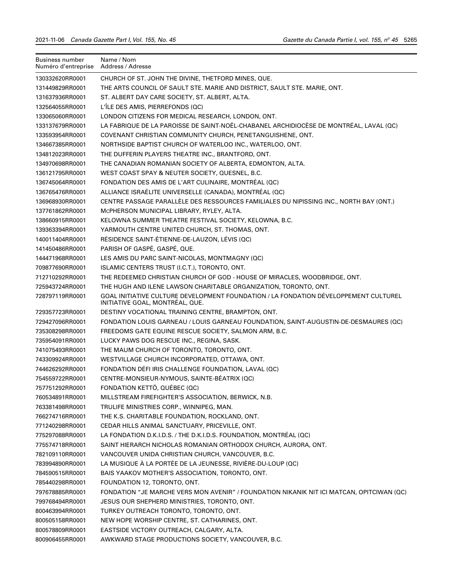| Business number<br>Numéro d'entreprise | Name / Nom<br>Address / Adresse                                                                                         |
|----------------------------------------|-------------------------------------------------------------------------------------------------------------------------|
| 130332620RR0001                        | CHURCH OF ST. JOHN THE DIVINE, THETFORD MINES, QUE.                                                                     |
| 131449829RR0001                        | THE ARTS COUNCIL OF SAULT STE. MARIE AND DISTRICT, SAULT STE. MARIE, ONT.                                               |
| 131637936RR0001                        | ST. ALBERT DAY CARE SOCIETY, ST. ALBERT, ALTA.                                                                          |
| 132564055RR0001                        | L'ÎLE DES AMIS, PIERREFONDS (QC)                                                                                        |
| 133065060RR0001                        | LONDON CITIZENS FOR MEDICAL RESEARCH, LONDON, ONT.                                                                      |
| 133137679RR0001                        | LA FABRIQUE DE LA PAROISSE DE SAINT-NOËL-CHABANEL ARCHIDIOCÈSE DE MONTRÉAL, LAVAL (QC)                                  |
| 133593954RR0001                        | COVENANT CHRISTIAN COMMUNITY CHURCH, PENETANGUISHENE, ONT.                                                              |
| 134667385RR0001                        | NORTHSIDE BAPTIST CHURCH OF WATERLOO INC., WATERLOO, ONT.                                                               |
| 134812023RR0001                        | THE DUFFERIN PLAYERS THEATRE INC., BRANTFORD, ONT.                                                                      |
| 134970698RR0001                        | THE CANADIAN ROMANIAN SOCIETY OF ALBERTA, EDMONTON, ALTA.                                                               |
| 136121795RR0001                        | WEST COAST SPAY & NEUTER SOCIETY, QUESNEL, B.C.                                                                         |
| 136745064RR0001                        | FONDATION DES AMIS DE L'ART CULINAIRE, MONTRÉAL (QC)                                                                    |
| 136765476RR0001                        | ALLIANCE ISRAÉLITE UNIVERSELLE (CANADA), MONTRÉAL (QC)                                                                  |
| 136968930RR0001                        | CENTRE PASSAGE PARALLÈLE DES RESSOURCES FAMILIALES DU NIPISSING INC., NORTH BAY (ONT.)                                  |
| 137761862RR0001                        | MCPHERSON MUNICIPAL LIBRARY, RYLEY, ALTA.                                                                               |
| 138660915RR0001                        | KELOWNA SUMMER THEATRE FESTIVAL SOCIETY, KELOWNA, B.C.                                                                  |
| 139363394RR0001                        | YARMOUTH CENTRE UNITED CHURCH, ST. THOMAS, ONT.                                                                         |
| 140011404RR0001                        | RÉSIDENCE SAINT-ÉTIENNE-DE-LAUZON, LÉVIS (QC)                                                                           |
| 141450486RR0001                        | PARISH OF GASPÉ, GASPÉ, QUE.                                                                                            |
| 144471968RR0001                        | LES AMIS DU PARC SAINT-NICOLAS, MONTMAGNY (QC)                                                                          |
| 709877690RR0001                        | ISLAMIC CENTERS TRUST (I.C.T.), TORONTO, ONT.                                                                           |
| 712710292RR0001                        | THE REDEEMED CHRISTIAN CHURCH OF GOD - HOUSE OF MIRACLES, WOODBRIDGE, ONT.                                              |
| 725943724RR0001                        | THE HUGH AND ILENE LAWSON CHARITABLE ORGANIZATION, TORONTO, ONT.                                                        |
| 728797119RR0001                        | GOAL INITIATIVE CULTURE DEVELOPMENT FOUNDATION / LA FONDATION DÉVELOPPEMENT CULTUREL<br>INITIATIVE GOAL, MONTRÉAL, QUE. |
| 729357723RR0001                        | DESTINY VOCATIONAL TRAINING CENTRE, BRAMPTON, ONT.                                                                      |
| 729427096RR0001                        | FONDATION LOUIS GARNEAU / LOUIS GARNEAU FOUNDATION, SAINT-AUGUSTIN-DE-DESMAURES (QC)                                    |
| 735308298RR0001                        | FREEDOMS GATE EQUINE RESCUE SOCIETY, SALMON ARM, B.C.                                                                   |
| 735954091RR0001                        | LUCKY PAWS DOG RESCUE INC., REGINA, SASK.                                                                               |
| 741075493RR0001                        | THE MAUM CHURCH OF TORONTO, TORONTO, ONT.                                                                               |
| 743309924RR0001                        | WESTVILLAGE CHURCH INCORPORATED, OTTAWA, ONT.                                                                           |
| 744626292RR0001                        | FONDATION DÉFI IRIS CHALLENGE FOUNDATION, LAVAL (QC)                                                                    |
| 754559722RR0001                        | CENTRE-MONSIEUR-NYMOUS, SAINTE-BÉATRIX (QC)                                                                             |
| 757751292RR0001                        | FONDATION KETTÖ, QUÉBEC (QC)                                                                                            |
| 760534891RR0001                        | MILLSTREAM FIREFIGHTER'S ASSOCIATION, BERWICK, N.B.                                                                     |
| 763381498RR0001                        | TRULIFE MINISTRIES CORP., WINNIPEG, MAN.                                                                                |
| 766274716RR0001                        | THE K.S. CHARITABLE FOUNDATION, ROCKLAND, ONT.                                                                          |
| 771240298RR0001                        | CEDAR HILLS ANIMAL SANCTUARY, PRICEVILLE, ONT.                                                                          |
| 775297088RR0001                        | LA FONDATION D.K.I.D.S. / THE D.K.I.D.S. FOUNDATION, MONTREAL (QC)                                                      |
| 775574718RR0001                        | SAINT HIERARCH NICHOLAS ROMANIAN ORTHODOX CHURCH, AURORA, ONT.                                                          |
| 782109110RR0001                        | VANCOUVER UNIDA CHRISTIAN CHURCH, VANCOUVER, B.C.                                                                       |
| 783994890RR0001                        | LA MUSIQUE À LA PORTÉE DE LA JEUNESSE, RIVIÈRE-DU-LOUP (QC)                                                             |
| 784590515RR0001                        | BAIS YAAKOV MOTHER'S ASSOCIATION, TORONTO, ONT.                                                                         |
| 785440298RR0001                        | FOUNDATION 12, TORONTO, ONT.                                                                                            |
| 797678885RR0001                        | FONDATION "JE MARCHE VERS MON AVENIR" / FOUNDATION NIKANIK NIT ICI MATCAN, OPITCIWAN (QC)                               |
| 799768494RR0001                        | JESUS OUR SHEPHERD MINISTRIES, TORONTO, ONT.                                                                            |
| 800463994RR0001                        | TURKEY OUTREACH TORONTO, TORONTO, ONT.                                                                                  |
| 800505158RR0001                        | NEW HOPE WORSHIP CENTRE, ST. CATHARINES, ONT.                                                                           |
| 800578809RR0001                        | EASTSIDE VICTORY OUTREACH, CALGARY, ALTA.                                                                               |
| 800906455RR0001                        | AWKWARD STAGE PRODUCTIONS SOCIETY, VANCOUVER, B.C.                                                                      |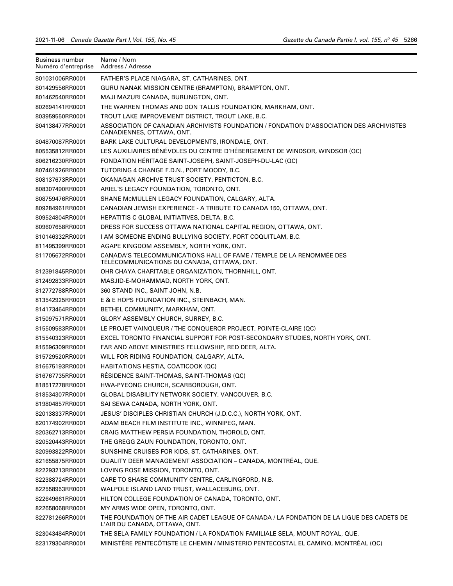| <b>Business number</b><br>Numéro d'entreprise | Name / Nom<br>Address / Adresse                                                                                            |
|-----------------------------------------------|----------------------------------------------------------------------------------------------------------------------------|
| 801031006RR0001                               | FATHER'S PLACE NIAGARA, ST. CATHARINES, ONT.                                                                               |
| 801429556RR0001                               | GURU NANAK MISSION CENTRE (BRAMPTON), BRAMPTON, ONT.                                                                       |
| 801462540RR0001                               | MAJI MAZURI CANADA, BURLINGTON, ONT.                                                                                       |
| 802694141RR0001                               | THE WARREN THOMAS AND DON TALLIS FOUNDATION, MARKHAM, ONT.                                                                 |
| 803959550RR0001                               | TROUT LAKE IMPROVEMENT DISTRICT, TROUT LAKE, B.C.                                                                          |
| 804138477RR0001                               | ASSOCIATION OF CANADIAN ARCHIVISTS FOUNDATION / FONDATION D'ASSOCIATION DES ARCHIVISTES<br>CANADIENNES, OTTAWA, ONT.       |
| 804870087RR0001                               | BARK LAKE CULTURAL DEVELOPMENTS, IRONDALE, ONT.                                                                            |
| 805535812RR0001                               | LES AUXILIAIRES BÉNÉVOLES DU CENTRE D'HÉBERGEMENT DE WINDSOR, WINDSOR (QC)                                                 |
| 806216230RR0001                               | FONDATION HÉRITAGE SAINT-JOSEPH, SAINT-JOSEPH-DU-LAC (QC)                                                                  |
| 807461926RR0001                               | TUTORING 4 CHANGE F.D.N., PORT MOODY, B.C.                                                                                 |
| 808137673RR0001                               | OKANAGAN ARCHIVE TRUST SOCIETY, PENTICTON, B.C.                                                                            |
| 808307490RR0001                               | ARIEL'S LEGACY FOUNDATION, TORONTO, ONT.                                                                                   |
| 808759476RR0001                               | SHANE MCMULLEN LEGACY FOUNDATION, CALGARY, ALTA.                                                                           |
| 809284961RR0001                               | CANADIAN JEWISH EXPERIENCE - A TRIBUTE TO CANADA 150, OTTAWA, ONT.                                                         |
| 809524804RR0001                               | HEPATITIS C GLOBAL INITIATIVES, DELTA, B.C.                                                                                |
| 809607658RR0001                               | DRESS FOR SUCCESS OTTAWA NATIONAL CAPITAL REGION, OTTAWA, ONT.                                                             |
| 810146332RR0001                               | I AM SOMEONE ENDING BULLYING SOCIETY, PORT COQUITLAM, B.C.                                                                 |
| 811495399RR0001                               | AGAPE KINGDOM ASSEMBLY, NORTH YORK, ONT.                                                                                   |
| 811705672RR0001                               | CANADA'S TELECOMMUNICATIONS HALL OF FAME / TEMPLE DE LA RENOMMÉE DES<br>TÉLÉCOMMUNICATIONS DU CANADA, OTTAWA, ONT.         |
| 812391845RR0001                               | OHR CHAYA CHARITABLE ORGANIZATION, THORNHILL, ONT.                                                                         |
| 812492833RR0001                               | MASJID-E-MOHAMMAD, NORTH YORK, ONT.                                                                                        |
| 812772788RR0001                               | 360 STAND INC., SAINT JOHN, N.B.                                                                                           |
| 813542925RR0001                               | E & E HOPS FOUNDATION INC., STEINBACH, MAN.                                                                                |
| 814173464RR0001                               | BETHEL COMMUNITY, MARKHAM, ONT.                                                                                            |
| 815097571RR0001                               | GLORY ASSEMBLY CHURCH, SURREY, B.C.                                                                                        |
| 815509583RR0001                               | LE PROJET VAINQUEUR / THE CONQUEROR PROJECT, POINTE-CLAIRE (QC)                                                            |
| 815540323RR0001                               | EXCEL TORONTO FINANCIAL SUPPORT FOR POST-SECONDARY STUDIES, NORTH YORK, ONT.                                               |
| 815596309RR0001                               | FAR AND ABOVE MINISTRIES FELLOWSHIP, RED DEER, ALTA.                                                                       |
| 815729520RR0001                               | WILL FOR RIDING FOUNDATION, CALGARY, ALTA.                                                                                 |
| 816675193RR0001                               | HABITATIONS HESTIA, COATICOOK (QC)                                                                                         |
| 816767735RR0001                               | RÉSIDENCE SAINT-THOMAS, SAINT-THOMAS (QC)                                                                                  |
| 818517278RR0001                               | HWA-PYEONG CHURCH, SCARBOROUGH, ONT.                                                                                       |
| 818534307RR0001                               | GLOBAL DISABILITY NETWORK SOCIETY, VANCOUVER, B.C.                                                                         |
| 819804857RR0001                               | SAI SEWA CANADA, NORTH YORK, ONT.                                                                                          |
| 820138337RR0001                               | JESUS' DISCIPLES CHRISTIAN CHURCH (J.D.C.C.), NORTH YORK, ONT.                                                             |
| 820174902RR0001                               | ADAM BEACH FILM INSTITUTE INC., WINNIPEG, MAN.                                                                             |
| 820362713RR0001                               | CRAIG MATTHEW PERSIA FOUNDATION, THOROLD, ONT.                                                                             |
| 820520443RR0001                               | THE GREGG ZAUN FOUNDATION, TORONTO, ONT.                                                                                   |
| 820993822RR0001                               | SUNSHINE CRUISES FOR KIDS, ST. CATHARINES, ONT.                                                                            |
| 821655875RR0001                               | QUALITY DEER MANAGEMENT ASSOCIATION - CANADA, MONTRÉAL, QUE.                                                               |
| 822293213RR0001                               | LOVING ROSE MISSION, TORONTO, ONT.                                                                                         |
| 822388724RR0001                               | CARE TO SHARE COMMUNITY CENTRE, CARLINGFORD, N.B.                                                                          |
| 822558953RR0001                               | WALPOLE ISLAND LAND TRUST, WALLACEBURG, ONT.                                                                               |
| 822649661RR0001                               | HILTON COLLEGE FOUNDATION OF CANADA, TORONTO, ONT.                                                                         |
| 822658068RR0001                               | MY ARMS WIDE OPEN, TORONTO, ONT.                                                                                           |
| 822781266RR0001                               | THE FOUNDATION OF THE AIR CADET LEAGUE OF CANADA / LA FONDATION DE LA LIGUE DES CADETS DE<br>L'AIR DU CANADA, OTTAWA, ONT. |
| 823043484RR0001                               | THE SELA FAMILY FOUNDATION / LA FONDATION FAMILIALE SELA, MOUNT ROYAL, QUE.                                                |
| 823179304RR0001                               | MINISTÈRE PENTECÔTISTE LE CHEMIN / MINISTERIO PENTECOSTAL EL CAMINO, MONTRÉAL (QC)                                         |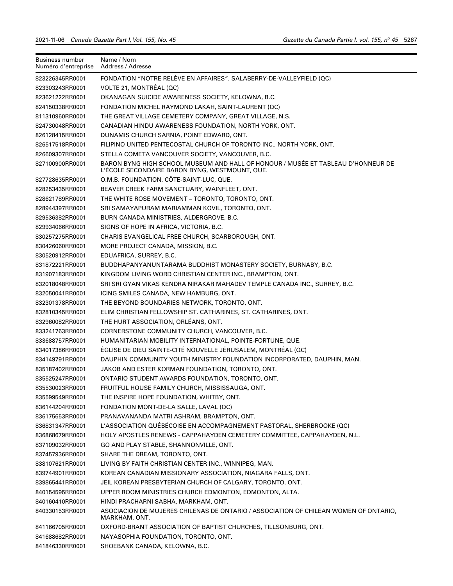| Business number<br>Numéro d'entreprise | Name / Nom<br>Address / Adresse                                                                                                    |
|----------------------------------------|------------------------------------------------------------------------------------------------------------------------------------|
| 823226345RR0001                        | FONDATION "NOTRE RELÈVE EN AFFAIRES", SALABERRY-DE-VALLEYFIELD (QC)                                                                |
| 823303243RR0001                        | VOLTE 21, MONTRÉAL (QC)                                                                                                            |
| 823621222RR0001                        | OKANAGAN SUICIDE AWARENESS SOCIETY, KELOWNA, B.C.                                                                                  |
| 824150338RR0001                        | FONDATION MICHEL RAYMOND LAKAH, SAINT-LAURENT (QC)                                                                                 |
| 811310960RR0001                        | THE GREAT VILLAGE CEMETERY COMPANY, GREAT VILLAGE, N.S.                                                                            |
| 824730048RR0001                        | CANADIAN HINDU AWARENESS FOUNDATION, NORTH YORK, ONT.                                                                              |
| 826128415RR0001                        | DUNAMIS CHURCH SARNIA, POINT EDWARD, ONT.                                                                                          |
| 826517518RR0001                        | FILIPINO UNITED PENTECOSTAL CHURCH OF TORONTO INC., NORTH YORK, ONT.                                                               |
| 826609307RR0001                        | STELLA COMETA VANCOUVER SOCIETY, VANCOUVER, B.C.                                                                                   |
| 827100900RR0001                        | BARON BYNG HIGH SCHOOL MUSEUM AND HALL OF HONOUR / MUSEE ET TABLEAU D'HONNEUR DE<br>L'ÉCOLE SECONDAIRE BARON BYNG, WESTMOUNT, QUE. |
| 827728635RR0001                        | O.M.B. FOUNDATION, COTE-SAINT-LUC, QUE.                                                                                            |
| 828253435RR0001                        | BEAVER CREEK FARM SANCTUARY, WAINFLEET, ONT.                                                                                       |
| 828621789RR0001                        | THE WHITE ROSE MOVEMENT – TORONTO, TORONTO, ONT.                                                                                   |
| 828944397RR0001                        | SRI SAMAYAPURAM MARIAMMAN KOVIL, TORONTO, ONT.                                                                                     |
| 829536382RR0001                        | BURN CANADA MINISTRIES, ALDERGROVE, B.C.                                                                                           |
| 829934066RR0001                        | SIGNS OF HOPE IN AFRICA, VICTORIA, B.C.                                                                                            |
| 830257275RR0001                        | CHARIS EVANGELICAL FREE CHURCH, SCARBOROUGH, ONT.                                                                                  |
| 830426060RR0001                        | MORE PROJECT CANADA, MISSION, B.C.                                                                                                 |
| 830520912RR0001                        | EDUAFRICA, SURREY, B.C.                                                                                                            |
| 831872221RR0001                        | BUDDHAPANYANUNTARAMA BUDDHIST MONASTERY SOCIETY, BURNABY, B.C.                                                                     |
| 831907183RR0001                        | KINGDOM LIVING WORD CHRISTIAN CENTER INC., BRAMPTON, ONT.                                                                          |
| 832018048RR0001                        | SRI SRI GYAN VIKAS KENDRA NIRAKAR MAHADEV TEMPLE CANADA INC., SURREY, B.C.                                                         |
| 832050041RR0001                        | ICING SMILES CANADA, NEW HAMBURG, ONT.                                                                                             |
| 832301378RR0001                        | THE BEYOND BOUNDARIES NETWORK, TORONTO, ONT.                                                                                       |
| 832810345RR0001                        | ELIM CHRISTIAN FELLOWSHIP ST. CATHARINES, ST. CATHARINES, ONT.                                                                     |
| 832960082RR0001                        | THE HURT ASSOCIATION, ORLÉANS, ONT.                                                                                                |
| 833241763RR0001                        | CORNERSTONE COMMUNITY CHURCH, VANCOUVER, B.C.                                                                                      |
| 833688757RR0001                        | HUMANITARIAN MOBILITY INTERNATIONAL, POINTE-FORTUNE, QUE.                                                                          |
| 834017386RR0001                        | ÉGLISE DE DIEU SAINTE-CITÉ NOUVELLE JÉRUSALEM, MONTRÉAL (QC)                                                                       |
| 834149791RR0001                        | DAUPHIN COMMUNITY YOUTH MINISTRY FOUNDATION INCORPORATED, DAUPHIN, MAN.                                                            |
| 835187402RR0001                        | JAKOB AND ESTER KORMAN FOUNDATION, TORONTO, ONT.                                                                                   |
| 835525247RR0001                        | ONTARIO STUDENT AWARDS FOUNDATION, TORONTO, ONT.                                                                                   |
| 835530023RR0001                        | FRUITFUL HOUSE FAMILY CHURCH, MISSISSAUGA, ONT.                                                                                    |
| 835599549RR0001                        | THE INSPIRE HOPE FOUNDATION, WHITBY, ONT.                                                                                          |
| 836144204RR0001                        | FONDATION MONT-DE-LA SALLE, LAVAL (QC)                                                                                             |
| 836175653RR0001                        | PRANAVANANDA MATRI ASHRAM, BRAMPTON, ONT.                                                                                          |
| 836831347RR0001                        | L'ASSOCIATION QUÉBÉCOISE EN ACCOMPAGNEMENT PASTORAL, SHERBROOKE (QC)                                                               |
| 836868679RR0001                        | HOLY APOSTLES RENEWS - CAPPAHAYDEN CEMETERY COMMITTEE, CAPPAHAYDEN, N.L.                                                           |
| 837109032RR0001                        | GO AND PLAY STABLE, SHANNONVILLE, ONT.                                                                                             |
| 837457936RR0001                        | SHARE THE DREAM, TORONTO, ONT.                                                                                                     |
| 838107621RR0001                        | LIVING BY FAITH CHRISTIAN CENTER INC., WINNIPEG, MAN.                                                                              |
| 839744901RR0001                        | KOREAN CANADIAN MISSIONARY ASSOCIATION, NIAGARA FALLS, ONT.                                                                        |
| 839865441RR0001                        | JEIL KOREAN PRESBYTERIAN CHURCH OF CALGARY, TORONTO, ONT.                                                                          |
| 840154595RR0001                        | UPPER ROOM MINISTRIES CHURCH EDMONTON, EDMONTON, ALTA.                                                                             |
| 840160410RR0001                        | HINDI PRACHARNI SABHA, MARKHAM, ONT.                                                                                               |
| 840330153RR0001                        | ASOCIACION DE MUJERES CHILENAS DE ONTARIO / ASSOCIATION OF CHILEAN WOMEN OF ONTARIO,<br>MARKHAM, ONT.                              |
| 841166705RR0001                        | OXFORD-BRANT ASSOCIATION OF BAPTIST CHURCHES, TILLSONBURG, ONT.                                                                    |
| 841688682RR0001                        | NAYASOPHIA FOUNDATION, TORONTO, ONT.                                                                                               |
| 841846330RR0001                        | SHOEBANK CANADA, KELOWNA, B.C.                                                                                                     |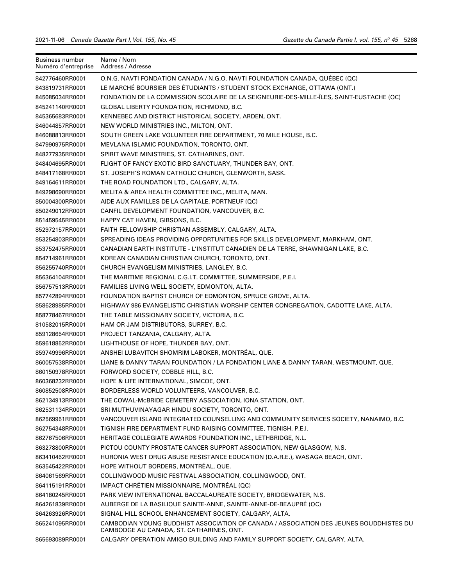| <b>Business number</b><br>Numéro d'entreprise | Name / Nom<br>Address / Adresse                                                                                                    |
|-----------------------------------------------|------------------------------------------------------------------------------------------------------------------------------------|
| 842776460RR0001                               | O.N.G. NAVTI FONDATION CANADA / N.G.O. NAVTI FOUNDATION CANADA, QUÉBEC (QC)                                                        |
| 843819731RR0001                               | LE MARCHÉ BOURSIER DES ÉTUDIANTS / STUDENT STOCK EXCHANGE, OTTAWA (ONT.)                                                           |
| 845085034RR0001                               | FONDATION DE LA COMMISSION SCOLAIRE DE LA SEIGNEURIE-DES-MILLE-ÎLES, SAINT-EUSTACHE (QC)                                           |
| 845241140RR0001                               | GLOBAL LIBERTY FOUNDATION, RICHMOND, B.C.                                                                                          |
| 845365683RR0001                               | KENNEBEC AND DISTRICT HISTORICAL SOCIETY, ARDEN, ONT.                                                                              |
| 846044857RR0001                               | NEW WORLD MINISTRIES INC., MILTON, ONT.                                                                                            |
| 846088813RR0001                               | SOUTH GREEN LAKE VOLUNTEER FIRE DEPARTMENT, 70 MILE HOUSE, B.C.                                                                    |
| 847990975RR0001                               | MEVLANA ISLAMIC FOUNDATION, TORONTO, ONT.                                                                                          |
| 848277935RR0001                               | SPIRIT WAVE MINISTRIES, ST. CATHARINES, ONT.                                                                                       |
| 848404695RR0001                               | FLIGHT OF FANCY EXOTIC BIRD SANCTUARY, THUNDER BAY, ONT.                                                                           |
| 848417168RR0001                               | ST. JOSEPH'S ROMAN CATHOLIC CHURCH, GLENWORTH, SASK.                                                                               |
| 849164611RR0001                               | THE ROAD FOUNDATION LTD., CALGARY, ALTA.                                                                                           |
| 849298690RR0001                               | MELITA & AREA HEALTH COMMITTEE INC., MELITA, MAN.                                                                                  |
| 850004300RR0001                               | AIDE AUX FAMILLES DE LA CAPITALE, PORTNEUF (QC)                                                                                    |
| 850249012RR0001                               | CANFIL DEVELOPMENT FOUNDATION, VANCOUVER, B.C.                                                                                     |
| 851459545RR0001                               | HAPPY CAT HAVEN, GIBSONS, B.C.                                                                                                     |
| 852972157RR0001                               | FAITH FELLOWSHIP CHRISTIAN ASSEMBLY, CALGARY, ALTA.                                                                                |
| 853254803RR0001                               | SPREADING IDEAS PROVIDING OPPORTUNITIES FOR SKILLS DEVELOPMENT, MARKHAM, ONT.                                                      |
| 853752475RR0001                               | CANADIAN EARTH INSTITUTE - L'INSTITUT CANADIEN DE LA TERRE, SHAWNIGAN LAKE, B.C.                                                   |
| 854714961RR0001                               | KOREAN CANADIAN CHRISTIAN CHURCH, TORONTO, ONT.                                                                                    |
| 856255740RR0001                               | CHURCH EVANGELISM MINISTRIES, LANGLEY, B.C.                                                                                        |
| 856364104RR0001                               | THE MARITIME REGIONAL C.G.I.T. COMMITTEE, SUMMERSIDE, P.E.I.                                                                       |
| 856757513RR0001                               | FAMILIES LIVING WELL SOCIETY, EDMONTON, ALTA.                                                                                      |
| 857742894RR0001                               | FOUNDATION BAPTIST CHURCH OF EDMONTON, SPRUCE GROVE, ALTA.                                                                         |
| 858628985RR0001                               | HIGHWAY 986 EVANGELISTIC CHRISTIAN WORSHIP CENTER CONGREGATION, CADOTTE LAKE, ALTA.                                                |
| 858778467RR0001                               | THE TABLE MISSIONARY SOCIETY, VICTORIA, B.C.                                                                                       |
| 810582015RR0001                               | HAM OR JAM DISTRIBUTORS, SURREY, B.C.                                                                                              |
| 859128654RR0001                               | PROJECT TANZANIA, CALGARY, ALTA.                                                                                                   |
| 859618852RR0001                               | LIGHTHOUSE OF HOPE, THUNDER BAY, ONT.                                                                                              |
| 859749996RR0001                               | ANSHEI LUBAVITCH SHOMRIM LABOKER, MONTRÉAL, QUE.                                                                                   |
| 860057538RR0001                               | LIANE & DANNY TARAN FOUNDATION / LA FONDATION LIANE & DANNY TARAN, WESTMOUNT, QUE.                                                 |
| 860150978RR0001                               | FORWORD SOCIETY, COBBLE HILL, B.C.                                                                                                 |
| 860368232RR0001                               | HOPE & LIFE INTERNATIONAL, SIMCOE, ONT.                                                                                            |
| 860852508RR0001                               | BORDERLESS WORLD VOLUNTEERS, VANCOUVER, B.C.                                                                                       |
| 862134913RR0001                               | THE COWAL-MCBRIDE CEMETERY ASSOCIATION, IONA STATION, ONT.                                                                         |
| 862531134RR0001                               | SRI MUTHUVINAYAGAR HINDU SOCIETY, TORONTO, ONT.                                                                                    |
| 862569951RR0001                               | VANCOUVER ISLAND INTEGRATED COUNSELLING AND COMMUNITY SERVICES SOCIETY, NANAIMO, B.C.                                              |
| 862754348RR0001                               | TIGNISH FIRE DEPARTMENT FUND RAISING COMMITTEE, TIGNISH, P.E.I.                                                                    |
| 862767506RR0001                               | HERITAGE COLLEGIATE AWARDS FOUNDATION INC., LETHBRIDGE, N.L.                                                                       |
| 863278800RR0001                               | PICTOU COUNTY PROSTATE CANCER SUPPORT ASSOCIATION, NEW GLASGOW, N.S.                                                               |
| 863410452RR0001                               | HURONIA WEST DRUG ABUSE RESISTANCE EDUCATION (D.A.R.E.), WASAGA BEACH, ONT.                                                        |
| 863545422RR0001                               | HOPE WITHOUT BORDERS, MONTRÉAL, QUE.                                                                                               |
| 864061569RR0001                               | COLLINGWOOD MUSIC FESTIVAL ASSOCIATION, COLLINGWOOD, ONT.                                                                          |
| 864115191RR0001                               | IMPACT CHRÉTIEN MISSIONNAIRE, MONTRÉAL (QC)                                                                                        |
| 864180245RR0001                               | PARK VIEW INTERNATIONAL BACCALAUREATE SOCIETY, BRIDGEWATER, N.S.                                                                   |
| 864261839RR0001                               | AUBERGE DE LA BASILIQUE SAINTE-ANNE, SAINTE-ANNE-DE-BEAUPRÉ (QC)                                                                   |
| 864263926RR0001                               | SIGNAL HILL SCHOOL ENHANCEMENT SOCIETY, CALGARY, ALTA.                                                                             |
| 865241095RR0001                               | CAMBODIAN YOUNG BUDDHIST ASSOCIATION OF CANADA / ASSOCIATION DES JEUNES BOUDDHISTES DU<br>CAMBODGE AU CANADA, ST. CATHARINES, ONT. |
| 865693089RR0001                               | CALGARY OPERATION AMIGO BUILDING AND FAMILY SUPPORT SOCIETY, CALGARY, ALTA.                                                        |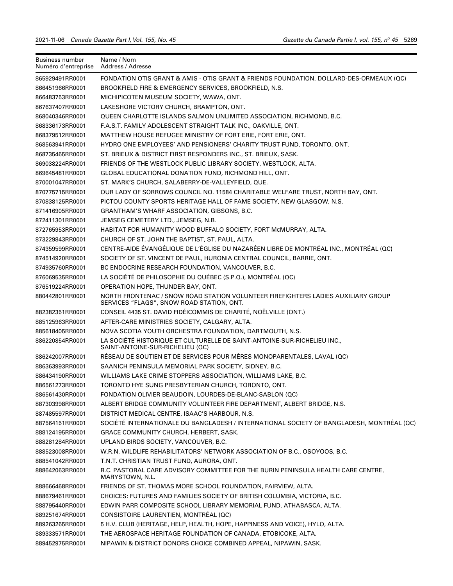| Business number<br>Numéro d'entreprise | Name / Nom<br>Address / Adresse                                                                                                |
|----------------------------------------|--------------------------------------------------------------------------------------------------------------------------------|
| 865929491RR0001                        | FONDATION OTIS GRANT & AMIS - OTIS GRANT & FRIENDS FOUNDATION, DOLLARD-DES-ORMEAUX (QC)                                        |
| 866451966RR0001                        | BROOKFIELD FIRE & EMERGENCY SERVICES, BROOKFIELD, N.S.                                                                         |
| 866483753RR0001                        | MICHIPICOTEN MUSEUM SOCIETY, WAWA, ONT.                                                                                        |
| 867637407RR0001                        | LAKESHORE VICTORY CHURCH, BRAMPTON, ONT.                                                                                       |
| 868040346RR0001                        | QUEEN CHARLOTTE ISLANDS SALMON UNLIMITED ASSOCIATION, RICHMOND, B.C.                                                           |
| 868336173RR0001                        | F.A.S.T. FAMILY ADOLESCENT STRAIGHT TALK INC., OAKVILLE, ONT.                                                                  |
| 868379512RR0001                        | MATTHEW HOUSE REFUGEE MINISTRY OF FORT ERIE, FORT ERIE, ONT.                                                                   |
| 868563941RR0001                        | HYDRO ONE EMPLOYEES' AND PENSIONERS' CHARITY TRUST FUND, TORONTO, ONT.                                                         |
| 868735465RR0001                        | ST. BRIEUX & DISTRICT FIRST RESPONDERS INC., ST. BRIEUX, SASK.                                                                 |
| 869038224RR0001                        | FRIENDS OF THE WESTLOCK PUBLIC LIBRARY SOCIETY, WESTLOCK, ALTA.                                                                |
| 869645481RR0001                        | GLOBAL EDUCATIONAL DONATION FUND, RICHMOND HILL, ONT.                                                                          |
| 870001047RR0001                        | ST. MARK'S CHURCH, SALABERRY-DE-VALLEYFIELD, QUE.                                                                              |
| 870775715RR0001                        | OUR LADY OF SORROWS COUNCIL NO. 11584 CHARITABLE WELFARE TRUST, NORTH BAY, ONT.                                                |
| 870838125RR0001                        | PICTOU COUNTY SPORTS HERITAGE HALL OF FAME SOCIETY, NEW GLASGOW, N.S.                                                          |
| 871416905RR0001                        | GRANTHAM'S WHARF ASSOCIATION, GIBSONS, B.C.                                                                                    |
| 872411301RR0001                        | JEMSEG CEMETERY LTD., JEMSEG, N.B.                                                                                             |
| 872765953RR0001                        | HABITAT FOR HUMANITY WOOD BUFFALO SOCIETY, FORT MCMURRAY, ALTA.                                                                |
| 873229843RR0001                        | CHURCH OF ST. JOHN THE BAPTIST, ST. PAUL, ALTA.                                                                                |
| 874359599RR0001                        | CENTRE-AIDE ÉVANGÉLIQUE DE L'ÉGLISE DU NAZARÉEN LIBRE DE MONTRÉAL INC., MONTRÉAL (QC)                                          |
| 874514920RR0001                        | SOCIETY OF ST. VINCENT DE PAUL, HURONIA CENTRAL COUNCIL, BARRIE, ONT.                                                          |
| 874935760RR0001                        | BC ENDOCRINE RESEARCH FOUNDATION, VANCOUVER, B.C.                                                                              |
| 876069535RR0001                        | LA SOCIÉTÉ DE PHILOSOPHIE DU QUÉBEC (S.P.Q.), MONTRÉAL (QC)                                                                    |
| 876519224RR0001                        | OPERATION HOPE, THUNDER BAY, ONT.                                                                                              |
| 880442801RR0001                        | NORTH FRONTENAC / SNOW ROAD STATION VOLUNTEER FIREFIGHTERS LADIES AUXILIARY GROUP<br>SERVICES "FLAGS", SNOW ROAD STATION, ONT. |
| 882382351RR0001                        | CONSEIL 4435 ST. DAVID FIDÉICOMMIS DE CHARITÉ, NOËLVILLE (ONT.)                                                                |
| 885125963RR0001                        | AFTER-CARE MINISTRIES SOCIETY, CALGARY, ALTA.                                                                                  |
| 885618405RR0001                        | NOVA SCOTIA YOUTH ORCHESTRA FOUNDATION, DARTMOUTH, N.S.                                                                        |
| 886220854RR0001                        | LA SOCIÉTÉ HISTORIQUE ET CULTURELLE DE SAINT-ANTOINE-SUR-RICHELIEU INC.,<br>SAINT-ANTOINE-SUR-RICHELIEU (QC)                   |
| 886242007RR0001                        | RÉSEAU DE SOUTIEN ET DE SERVICES POUR MÈRES MONOPARENTALES, LAVAL (QC)                                                         |
| 886363993RR0001                        | SAANICH PENINSULA MEMORIAL PARK SOCIETY, SIDNEY, B.C.                                                                          |
| 886434190RR0001                        | WILLIAMS LAKE CRIME STOPPERS ASSOCIATION, WILLIAMS LAKE, B.C.                                                                  |
| 886561273RR0001                        | TORONTO HYE SUNG PRESBYTERIAN CHURCH, TORONTO, ONT.                                                                            |
| 886561430RR0001                        | FONDATION OLIVIER BEAUDOIN, LOURDES-DE-BLANC-SABLON (QC)                                                                       |
| 887303998RR0001                        | ALBERT BRIDGE COMMUNITY VOLUNTEER FIRE DEPARTMENT, ALBERT BRIDGE, N.S.                                                         |
| 887485597RR0001                        | DISTRICT MEDICAL CENTRE, ISAAC'S HARBOUR, N.S.                                                                                 |
| 887564151RR0001                        | SOCIÉTÉ INTERNATIONALE DU BANGLADESH / INTERNATIONAL SOCIETY OF BANGLADESH, MONTRÉAL (QC)                                      |
| 888124195RR0001                        | GRACE COMMUNITY CHURCH, HERBERT, SASK.                                                                                         |
| 888281284RR0001                        | UPLAND BIRDS SOCIETY, VANCOUVER, B.C.                                                                                          |
| 888523008RR0001                        | W.R.N. WILDLIFE REHABILITATORS' NETWORK ASSOCIATION OF B.C., OSOYOOS, B.C.                                                     |
| 888541042RR0001                        | T.N.T. CHRISTIAN TRUST FUND, AURORA, ONT.                                                                                      |
| 888642063RR0001                        | R.C. PASTORAL CARE ADVISORY COMMITTEE FOR THE BURIN PENINSULA HEALTH CARE CENTRE,<br>MARYSTOWN, N.L.                           |
| 888666468RR0001                        | FRIENDS OF ST. THOMAS MORE SCHOOL FOUNDATION, FAIRVIEW, ALTA.                                                                  |
| 888679461RR0001                        | CHOICES: FUTURES AND FAMILIES SOCIETY OF BRITISH COLUMBIA, VICTORIA, B.C.                                                      |
| 888795440RR0001                        | EDWIN PARR COMPOSITE SCHOOL LIBRARY MEMORIAL FUND, ATHABASCA, ALTA.                                                            |
| 889251674RR0001                        | CONSISTOIRE LAURENTIEN, MONTRÉAL (QC)                                                                                          |
| 889263265RR0001                        | 5 H.V. CLUB (HERITAGE, HELP, HEALTH, HOPE, HAPPINESS AND VOICE), HYLO, ALTA.                                                   |
| 889333571RR0001                        | THE AEROSPACE HERITAGE FOUNDATION OF CANADA, ETOBICOKE, ALTA.                                                                  |
| 889452975RR0001                        | NIPAWIN & DISTRICT DONORS CHOICE COMBINED APPEAL, NIPAWIN, SASK.                                                               |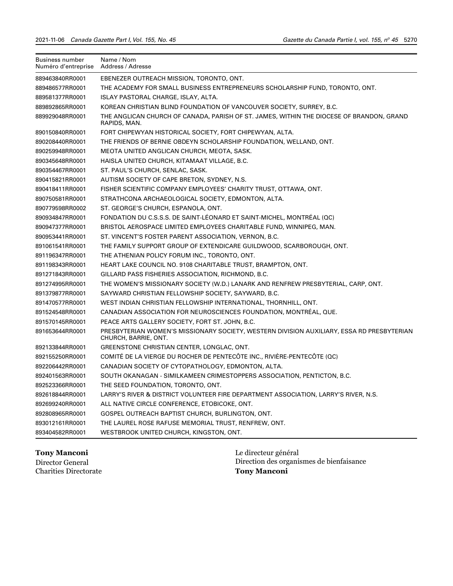| <b>Business number</b><br>Numéro d'entreprise | Name / Nom<br>Address / Adresse                                                                                   |
|-----------------------------------------------|-------------------------------------------------------------------------------------------------------------------|
| 889463840RR0001                               | EBENEZER OUTREACH MISSION, TORONTO, ONT.                                                                          |
| 889486577RR0001                               | THE ACADEMY FOR SMALL BUSINESS ENTREPRENEURS SCHOLARSHIP FUND, TORONTO, ONT.                                      |
| 889581377RR0001                               | ISLAY PASTORAL CHARGE, ISLAY, ALTA.                                                                               |
| 889892865RR0001                               | KOREAN CHRISTIAN BLIND FOUNDATION OF VANCOUVER SOCIETY, SURREY, B.C.                                              |
| 889929048RR0001                               | THE ANGLICAN CHURCH OF CANADA, PARISH OF ST. JAMES, WITHIN THE DIOCESE OF BRANDON, GRAND<br>RAPIDS, MAN.          |
| 890150840RR0001                               | FORT CHIPEWYAN HISTORICAL SOCIETY, FORT CHIPEWYAN, ALTA.                                                          |
| 890208440RR0001                               | THE FRIENDS OF BERNIE OBDEYN SCHOLARSHIP FOUNDATION, WELLAND, ONT.                                                |
| 890259948RR0001                               | MEOTA UNITED ANGLICAN CHURCH, MEOTA, SASK.                                                                        |
| 890345648RR0001                               | HAISLA UNITED CHURCH, KITAMAAT VILLAGE, B.C.                                                                      |
| 890354467RR0001                               | ST. PAUL'S CHURCH, SENLAC, SASK.                                                                                  |
| 890415821RR0001                               | AUTISM SOCIETY OF CAPE BRETON, SYDNEY, N.S.                                                                       |
| 890418411RR0001                               | FISHER SCIENTIFIC COMPANY EMPLOYEES' CHARITY TRUST, OTTAWA, ONT.                                                  |
| 890750581RR0001                               | STRATHCONA ARCHAEOLOGICAL SOCIETY, EDMONTON, ALTA.                                                                |
| 890779598RR0002                               | ST. GEORGE'S CHURCH, ESPANOLA, ONT.                                                                               |
| 890934847RR0001                               | FONDATION DU C.S.S.S. DE SAINT-LEONARD ET SAINT-MICHEL, MONTREAL (QC)                                             |
| 890947377RR0001                               | BRISTOL AEROSPACE LIMITED EMPLOYEES CHARITABLE FUND, WINNIPEG, MAN.                                               |
| 890953441RR0001                               | ST. VINCENT'S FOSTER PARENT ASSOCIATION, VERNON, B.C.                                                             |
| 891061541RR0001                               | THE FAMILY SUPPORT GROUP OF EXTENDICARE GUILDWOOD, SCARBOROUGH, ONT.                                              |
| 891196347RR0001                               | THE ATHENIAN POLICY FORUM INC., TORONTO, ONT.                                                                     |
| 891198343RR0001                               | HEART LAKE COUNCIL NO. 9108 CHARITABLE TRUST, BRAMPTON, ONT.                                                      |
| 891271843RR0001                               | GILLARD PASS FISHERIES ASSOCIATION, RICHMOND, B.C.                                                                |
| 891274995RR0001                               | THE WOMEN'S MISSIONARY SOCIETY (W.D.) LANARK AND RENFREW PRESBYTERIAL, CARP, ONT.                                 |
| 891379877RR0001                               | SAYWARD CHRISTIAN FELLOWSHIP SOCIETY, SAYWARD, B.C.                                                               |
| 891470577RR0001                               | WEST INDIAN CHRISTIAN FELLOWSHIP INTERNATIONAL, THORNHILL, ONT.                                                   |
| 891524548RR0001                               | CANADIAN ASSOCIATION FOR NEUROSCIENCES FOUNDATION, MONTRÉAL, QUE.                                                 |
| 891570145RR0001                               | PEACE ARTS GALLERY SOCIETY, FORT ST. JOHN, B.C.                                                                   |
| 891653644RR0001                               | PRESBYTERIAN WOMEN'S MISSIONARY SOCIETY, WESTERN DIVISION AUXILIARY, ESSA RD PRESBYTERIAN<br>CHURCH, BARRIE, ONT. |
| 892133844RR0001                               | GREENSTONE CHRISTIAN CENTER, LONGLAC, ONT.                                                                        |
| 892155250RR0001                               | COMITÉ DE LA VIERGE DU ROCHER DE PENTECÔTE INC., RIVIÈRE-PENTECÔTE (QC)                                           |
| 892206442RR0001                               | CANADIAN SOCIETY OF CYTOPATHOLOGY, EDMONTON, ALTA.                                                                |
| 892401563RR0001                               | SOUTH OKANAGAN - SIMILKAMEEN CRIMESTOPPERS ASSOCIATION, PENTICTON, B.C.                                           |
| 892523366RR0001                               | THE SEED FOUNDATION, TORONTO, ONT.                                                                                |
| 892618844RR0001                               | LARRY'S RIVER & DISTRICT VOLUNTEER FIRE DEPARTMENT ASSOCIATION, LARRY'S RIVER, N.S.                               |
| 892699240RR0001                               | ALL NATIVE CIRCLE CONFERENCE, ETOBICOKE, ONT.                                                                     |
| 892808965RR0001                               | GOSPEL OUTREACH BAPTIST CHURCH, BURLINGTON, ONT.                                                                  |
| 893012161RR0001                               | THE LAUREL ROSE RAFUSE MEMORIAL TRUST, RENFREW, ONT.                                                              |
| 893404582RR0001                               | WESTBROOK UNITED CHURCH, KINGSTON, ONT.                                                                           |

# **Tony Manconi**

Director General Charities Directorate Le directeur général Direction des organismes de bienfaisance **Tony Manconi**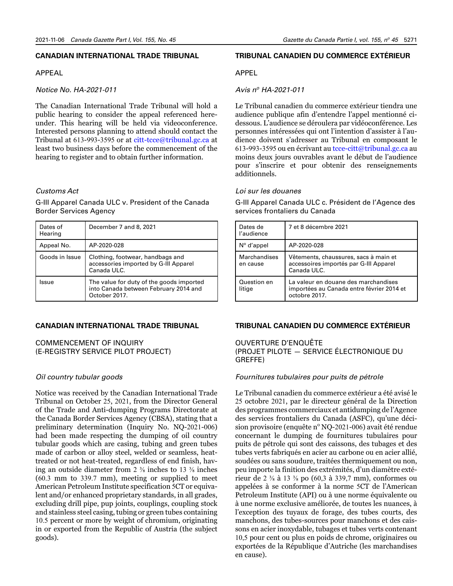#### **CANADIAN INTERNATIONAL TRADE TRIBUNAL**

#### APPEAL

#### *Notice No. HA-2021-011*

The Canadian International Trade Tribunal will hold a public hearing to consider the appeal referenced hereunder. This hearing will be held via videoconference. Interested persons planning to attend should contact the Tribunal at 613-993-3595 or at [citt-tcce@tribunal.gc.ca](mailto:citt-tcce%40tribunal.gc.ca?subject=) at least two business days before the commencement of the hearing to register and to obtain further information.

#### *Customs Act*

G-III Apparel Canada ULC v. President of the Canada Border Services Agency

| Dates of<br>Hearing | December 7 and 8, 2021                                                                             |  |
|---------------------|----------------------------------------------------------------------------------------------------|--|
| Appeal No.          | AP-2020-028                                                                                        |  |
| Goods in Issue      | Clothing, footwear, handbags and<br>accessories imported by G-III Apparel<br>Canada ULC.           |  |
| Issue               | The value for duty of the goods imported<br>into Canada between February 2014 and<br>October 2017. |  |

#### **CANADIAN INTERNATIONAL TRADE TRIBUNAL**

COMMENCEMENT OF INQUIRY (E-REGISTRY SERVICE PILOT PROJECT)

#### *Oil country tubular goods*

Notice was received by the Canadian International Trade Tribunal on October 25, 2021, from the Director General of the Trade and Anti-dumping Programs Directorate at the Canada Border Services Agency (CBSA), stating that a preliminary determination (Inquiry No. NQ-2021-006) had been made respecting the dumping of oil country tubular goods which are casing, tubing and green tubes made of carbon or alloy steel, welded or seamless, heattreated or not heat-treated, regardless of end finish, having an outside diameter from  $2 \frac{3}{8}$  inches to 13  $\frac{3}{8}$  inches (60.3 mm to 339.7 mm), meeting or supplied to meet American Petroleum Institute specification 5CT or equivalent and/or enhanced proprietary standards, in all grades, excluding drill pipe, pup joints, couplings, coupling stock and stainless steel casing, tubing or green tubes containing 10.5 percent or more by weight of chromium, originating in or exported from the Republic of Austria (the subject goods).

#### **TRIBUNAL CANADIEN DU COMMERCE EXTÉRIEUR**

#### APPEL

#### *Avis no HA-2021-011*

Le Tribunal canadien du commerce extérieur tiendra une audience publique afin d'entendre l'appel mentionné cidessous. L'audience se déroulera par vidéoconférence. Les personnes intéressées qui ont l'intention d'assister à l'audience doivent s'adresser au Tribunal en composant le 613-993-3595 ou en écrivant au [tcce-citt@tribunal.gc.ca](mailto:tcce-citt%40tribunal.gc.ca?subject=) au moins deux jours ouvrables avant le début de l'audience pour s'inscrire et pour obtenir des renseignements additionnels.

#### *Loi sur les douanes*

G-III Apparel Canada ULC c. Président de l'Agence des services frontaliers du Canada

| Dates de<br>l'audience          | 7 et 8 décembre 2021                                                                               |
|---------------------------------|----------------------------------------------------------------------------------------------------|
| $N^{\circ}$ d'appel             | AP-2020-028                                                                                        |
| <b>Marchandises</b><br>en cause | Vêtements, chaussures, sacs à main et<br>accessoires importés par G-III Apparel<br>Canada ULC.     |
| Question en<br>litige           | La valeur en douane des marchandises<br>importées au Canada entre février 2014 et<br>octobre 2017. |

#### **TRIBUNAL CANADIEN DU COMMERCE EXTÉRIEUR**

#### OUVERTURE D'ENQUÊTE (PROJET PILOTE — SERVICE ÉLECTRONIQUE DU GREFFE)

#### *Fournitures tubulaires pour puits de pétrole*

Le Tribunal canadien du commerce extérieur a été avisé le 25 octobre 2021, par le directeur général de la Direction des programmes commerciaux et antidumping de l'Agence des services frontaliers du Canada (ASFC), qu'une décision provisoire (enquête nº NQ-2021-006) avait été rendue concernant le dumping de fournitures tubulaires pour puits de pétrole qui sont des caissons, des tubages et des tubes verts fabriqués en acier au carbone ou en acier allié, soudées ou sans soudure, traitées thermiquement ou non, peu importe la finition des extrémités, d'un diamètre extérieur de 2 ⅜ à 13 ⅜ po (60,3 à 339,7 mm), conformes ou appelées à se conformer à la norme 5CT de l'American Petroleum Institute (API) ou à une norme équivalente ou à une norme exclusive améliorée, de toutes les nuances, à l'exception des tuyaux de forage, des tubes courts, des manchons, des tubes-sources pour manchons et des caissons en acier inoxydable, tubages et tubes verts contenant 10,5 pour cent ou plus en poids de chrome, originaires ou exportées de la République d'Autriche (les marchandises en cause).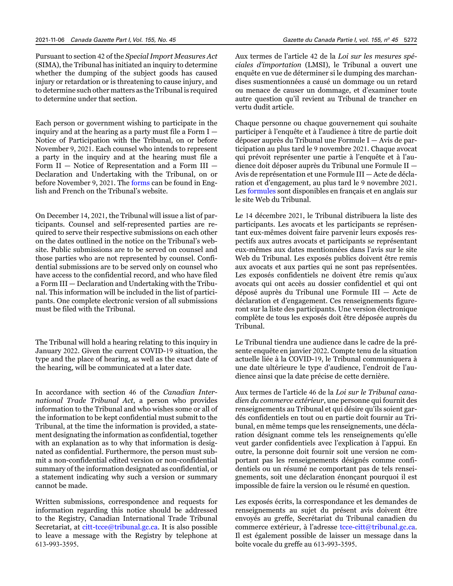Pursuant to section 42 of the *Special Import Measures Act* (SIMA), the Tribunal has initiated an inquiry to determine whether the dumping of the subject goods has caused injury or retardation or is threatening to cause injury, and to determine such other matters as the Tribunal is required to determine under that section.

Each person or government wishing to participate in the inquiry and at the hearing as a party must file a Form  $I -$ Notice of Participation with the Tribunal, on or before November 9, 2021. Each counsel who intends to represent a party in the inquiry and at the hearing must file a Form  $II$  – Notice of Representation and a Form III – Declaration and Undertaking with the Tribunal, on or before November 9, 2021. The [forms](http://citt-tcce.gc.ca/en/forms/forms.html) can be found in English and French on the Tribunal's website.

On December 14, 2021, the Tribunal will issue a list of participants. Counsel and self-represented parties are required to serve their respective submissions on each other on the dates outlined in the notice on the Tribunal's website. Public submissions are to be served on counsel and those parties who are not represented by counsel. Confidential submissions are to be served only on counsel who have access to the confidential record, and who have filed a Form III — Declaration and Undertaking with the Tribunal. This information will be included in the list of participants. One complete electronic version of all submissions must be filed with the Tribunal.

The Tribunal will hold a hearing relating to this inquiry in January 2022. Given the current COVID-19 situation, the type and the place of hearing, as well as the exact date of the hearing, will be communicated at a later date.

In accordance with section 46 of the *Canadian International Trade Tribunal Act*, a person who provides information to the Tribunal and who wishes some or all of the information to be kept confidential must submit to the Tribunal, at the time the information is provided, a statement designating the information as confidential, together with an explanation as to why that information is designated as confidential. Furthermore, the person must submit a non-confidential edited version or non-confidential summary of the information designated as confidential, or a statement indicating why such a version or summary cannot be made.

Written submissions, correspondence and requests for information regarding this notice should be addressed to the Registry, Canadian International Trade Tribunal Secretariat, at [citt-tcce@tribunal.gc.ca](mailto:citt-tcce%40tribunal.gc.ca?subject=). It is also possible to leave a message with the Registry by telephone at 613-993-3595.

Aux termes de l'article 42 de la *Loi sur les mesures spéciales d'importation* (LMSI), le Tribunal a ouvert une enquête en vue de déterminer si le dumping des marchandises susmentionnées a causé un dommage ou un retard ou menace de causer un dommage, et d'examiner toute autre question qu'il revient au Tribunal de trancher en vertu dudit article.

Chaque personne ou chaque gouvernement qui souhaite participer à l'enquête et à l'audience à titre de partie doit déposer auprès du Tribunal une Formule I — Avis de participation au plus tard le 9 novembre 2021. Chaque avocat qui prévoit représenter une partie à l'enquête et à l'audience doit déposer auprès du Tribunal une Formule II — Avis de représentation et une Formule III — Acte de déclaration et d'engagement, au plus tard le 9 novembre 2021. Les [formules](http://citt-tcce.gc.ca/fr/formules/formules.html) sont disponibles en français et en anglais sur le site Web du Tribunal.

Le 14 décembre 2021, le Tribunal distribuera la liste des participants. Les avocats et les participants se représentant eux-mêmes doivent faire parvenir leurs exposés respectifs aux autres avocats et participants se représentant eux-mêmes aux dates mentionnées dans l'avis sur le site Web du Tribunal. Les exposés publics doivent être remis aux avocats et aux parties qui ne sont pas représentées. Les exposés confidentiels ne doivent être remis qu'aux avocats qui ont accès au dossier confidentiel et qui ont déposé auprès du Tribunal une Formule III — Acte de déclaration et d'engagement. Ces renseignements figureront sur la liste des participants. Une version électronique complète de tous les exposés doit être déposée auprès du Tribunal.

Le Tribunal tiendra une audience dans le cadre de la présente enquête en janvier 2022. Compte tenu de la situation actuelle liée à la COVID-19, le Tribunal communiquera à une date ultérieure le type d'audience, l'endroit de l'audience ainsi que la date précise de cette dernière.

Aux termes de l'article 46 de la *Loi sur le Tribunal canadien du commerce extérieur*, une personne qui fournit des renseignements au Tribunal et qui désire qu'ils soient gardés confidentiels en tout ou en partie doit fournir au Tribunal, en même temps que les renseignements, une déclaration désignant comme tels les renseignements qu'elle veut garder confidentiels avec l'explication à l'appui. En outre, la personne doit fournir soit une version ne comportant pas les renseignements désignés comme confidentiels ou un résumé ne comportant pas de tels renseignements, soit une déclaration énonçant pourquoi il est impossible de faire la version ou le résumé en question.

Les exposés écrits, la correspondance et les demandes de renseignements au sujet du présent avis doivent être envoyés au greffe, Secrétariat du Tribunal canadien du commerce extérieur, à l'adresse [tcce-citt@tribunal.gc.ca](mailto:tcce-citt%40tribunal.gc.ca?subject=). Il est également possible de laisser un message dans la boîte vocale du greffe au 613-993-3595.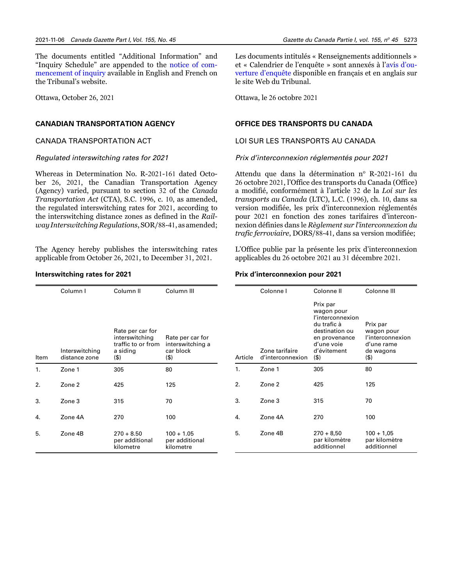The documents entitled "Additional Information" and "Inquiry Schedule" are appended to the [notice of com](https://decisions.citt-tcce.gc.ca/citt-tcce/ra/en/item/18219/index.do)[mencement of inquiry](https://decisions.citt-tcce.gc.ca/citt-tcce/ra/en/item/18219/index.do) available in English and French on the Tribunal's website.

Ottawa, October 26, 2021

#### **CANADIAN TRANSPORTATION AGENCY**

#### CANADA TRANSPORTATION ACT

#### *Regulated interswitching rates for 2021*

Whereas in Determination No. R-2021-161 dated October 26, 2021, the Canadian Transportation Agency (Agency) varied, pursuant to section 32 of the *Canada Transportation Act* (CTA), S.C. 1996, c. 10, as amended, the regulated interswitching rates for 2021, according to the interswitching distance zones as defined in the *Railway Interswitching Regulations*, SOR/88-41, as amended;

The Agency hereby publishes the interswitching rates applicable from October 26, 2021, to December 31, 2021.

#### **Interswitching rates for 2021**

Les documents intitulés « Renseignements additionnels » et « Calendrier de l'enquête » sont annexés à l['avis d'ou](https://decisions.citt-tcce.gc.ca/citt-tcce/ra/fr/item/18219/index.do)[verture d'enquête](https://decisions.citt-tcce.gc.ca/citt-tcce/ra/fr/item/18219/index.do) disponible en français et en anglais sur le site Web du Tribunal.

Ottawa, le 26 octobre 2021

#### **OFFICE DES TRANSPORTS DU CANADA**

#### LOI SUR LES TRANSPORTS AU CANADA

#### *Prix d'interconnexion réglementés pour 2021*

Attendu que dans la détermination nº R-2021-161 du 26 octobre 2021, l'Office des transports du Canada (Office) a modifié, conformément à l'article 32 de la *Loi sur les transports au Canada* (LTC), L.C. (1996), ch. 10, dans sa version modifiée, les prix d'interconnexion réglementés pour 2021 en fonction des zones tarifaires d'interconnexion définies dans le *Règlement sur l'interconnexion du trafic ferroviaire*, DORS/88-41, dans sa version modifiée;

L'Office publie par la présente les prix d'interconnexion applicables du 26 octobre 2021 au 31 décembre 2021.

#### **Prix d'interconnexion pour 2021**

|                | Column I                        | Column <sub>II</sub>                                                            | Column III                                                   |         | Colonne I                          | Colonne <sup>II</sup>                                                                                                            | Colonne III                                                                      |
|----------------|---------------------------------|---------------------------------------------------------------------------------|--------------------------------------------------------------|---------|------------------------------------|----------------------------------------------------------------------------------------------------------------------------------|----------------------------------------------------------------------------------|
| Item           | Interswitching<br>distance zone | Rate per car for<br>interswitching<br>traffic to or from<br>a siding<br>$($ \$) | Rate per car for<br>interswitching a<br>car block<br>$($ \$) | Article | Zone tarifaire<br>d'interconnexion | Prix par<br>wagon pour<br>l'interconnexion<br>du trafic à<br>destination ou<br>en provenance<br>d'une voie<br>d'évitement<br>(5) | Prix par<br>wagon pour<br>l'interconnexion<br>d'une rame<br>de wagons<br>$($ \$) |
| $\mathbf{1}$ . | Zone 1                          | 305                                                                             | 80                                                           | 1.      | Zone 1                             | 305                                                                                                                              | 80                                                                               |
| 2.             | Zone 2                          | 425                                                                             | 125                                                          | 2.      | Zone 2                             | 425                                                                                                                              | 125                                                                              |
| 3.             | Zone 3                          | 315                                                                             | 70                                                           | 3.      | Zone 3                             | 315                                                                                                                              | 70                                                                               |
| 4.             | Zone 4A                         | 270                                                                             | 100                                                          | 4.      | Zone 4A                            | 270                                                                                                                              | 100                                                                              |
| 5.             | Zone 4B                         | $270 + 8.50$<br>per additional<br>kilometre                                     | $100 + 1.05$<br>per additional<br>kilometre                  | 5.      | Zone 4B                            | $270 + 8,50$<br>par kilomètre<br>additionnel                                                                                     | $100 + 1,05$<br>par kilomètre<br>additionnel                                     |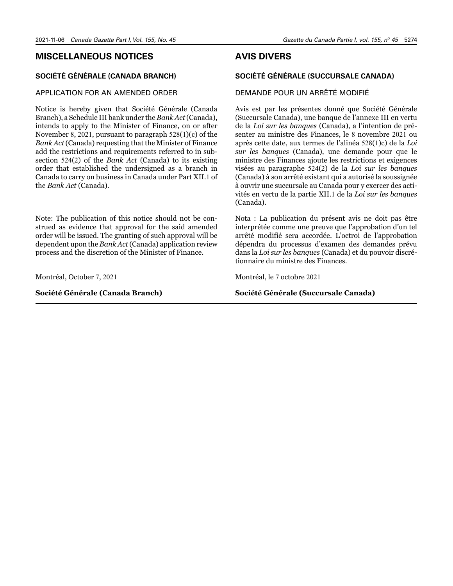#### <span id="page-33-0"></span>**MISCELLANEOUS NOTICES**

#### **SOCIÉTÉ GÉNÉRALE (CANADA BRANCH)**

#### APPLICATION FOR AN AMENDED ORDER

Notice is hereby given that Société Générale (Canada Branch), a Schedule III bank under the *Bank Act* (Canada), intends to apply to the Minister of Finance, on or after November 8, 2021, pursuant to paragraph 528(1)(c) of the *Bank Act* (Canada) requesting that the Minister of Finance add the restrictions and requirements referred to in subsection 524(2) of the *Bank Act* (Canada) to its existing order that established the undersigned as a branch in Canada to carry on business in Canada under Part XII.1 of the *Bank Act* (Canada).

Note: The publication of this notice should not be construed as evidence that approval for the said amended order will be issued. The granting of such approval will be dependent upon the *Bank Act* (Canada) application review process and the discretion of the Minister of Finance.

Montréal, October 7, 2021

**Société Générale (Canada Branch)**

# **AVIS DIVERS**

#### **SOCIÉTÉ GÉNÉRALE (SUCCURSALE CANADA)**

#### DEMANDE POUR UN ARRÊTÉ MODIFIÉ

Avis est par les présentes donné que Société Générale (Succursale Canada), une banque de l'annexe III en vertu de la *Loi sur les banques* (Canada), a l'intention de présenter au ministre des Finances, le 8 novembre 2021 ou après cette date, aux termes de l'alinéa 528(1)c) de la *Loi sur les banques* (Canada), une demande pour que le ministre des Finances ajoute les restrictions et exigences visées au paragraphe 524(2) de la *Loi sur les banques* (Canada) à son arrêté existant qui a autorisé la soussignée à ouvrir une succursale au Canada pour y exercer des activités en vertu de la partie XII.1 de la *Loi sur les banques* (Canada).

Nota : La publication du présent avis ne doit pas être interprétée comme une preuve que l'approbation d'un tel arrêté modifié sera accordée. L'octroi de l'approbation dépendra du processus d'examen des demandes prévu dans la *Loi sur les banques* (Canada) et du pouvoir discrétionnaire du ministre des Finances.

Montréal, le 7 octobre 2021

**Société Générale (Succursale Canada)**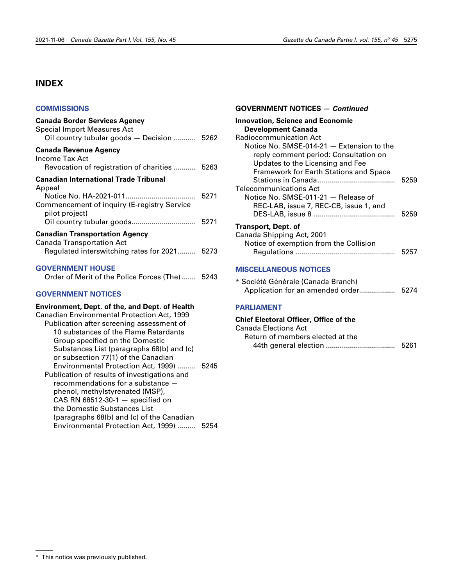# <span id="page-34-0"></span>**INDEX**

#### **[COMMISSIONS](#page-21-0)**

| <b>Canada Border Services Agency</b><br><b>Special Import Measures Act</b>                                                                                                                                                    |      |
|-------------------------------------------------------------------------------------------------------------------------------------------------------------------------------------------------------------------------------|------|
| Oil country tubular goods - Decision  5262                                                                                                                                                                                    |      |
| <b>Canada Revenue Agency</b><br>Income Tax Act<br>Revocation of registration of charities  5263                                                                                                                               |      |
| <b>Canadian International Trade Tribunal</b>                                                                                                                                                                                  |      |
| Appeal                                                                                                                                                                                                                        |      |
| Notice No. HA-2021-011<br>Commencement of inquiry (E-registry Service<br>pilot project)                                                                                                                                       | 5271 |
|                                                                                                                                                                                                                               |      |
| <b>Canadian Transportation Agency</b>                                                                                                                                                                                         |      |
| <b>Canada Transportation Act</b>                                                                                                                                                                                              |      |
| Regulated interswitching rates for 2021 5273                                                                                                                                                                                  |      |
| <b>GOVERNMENT HOUSE</b>                                                                                                                                                                                                       |      |
| Order of Merit of the Police Forces (The) 5243                                                                                                                                                                                |      |
| <b>GOVERNMENT NOTICES</b>                                                                                                                                                                                                     |      |
| <b>Environment, Dept. of the, and Dept. of Health</b><br>Canadian Environmental Protection Act, 1999<br>Publication after screening assessment of<br>10 substances of the Flame Retardants<br>Group specified on the Domestic |      |
| Substances List (paragraphs 68(b) and (c)                                                                                                                                                                                     |      |
| or subsection 77(1) of the Canadian                                                                                                                                                                                           |      |
| Environmental Protection Act, 1999)                                                                                                                                                                                           | 5245 |
| Publication of results of investigations and                                                                                                                                                                                  |      |
| recommendations for a substance -                                                                                                                                                                                             |      |
| phonol mothuloturonatod (MCD)                                                                                                                                                                                                 |      |

| recommendations for a substance $-$       |  |
|-------------------------------------------|--|
| phenol, methylstyrenated (MSP),           |  |
| CAS RN 68512-30-1 $-$ specified on        |  |
| the Domestic Substances List              |  |
| (paragraphs 68(b) and (c) of the Canadian |  |
| Environmental Protection Act, 1999)  5254 |  |
|                                           |  |

#### **GOVERNMENT NOTICES —** *Continued*

| <b>Innovation, Science and Economic</b>       |      |
|-----------------------------------------------|------|
| <b>Development Canada</b>                     |      |
| Radiocommunication Act                        |      |
| Notice No. SMSE-014-21 - Extension to the     |      |
| reply comment period: Consultation on         |      |
| Updates to the Licensing and Fee              |      |
| <b>Framework for Earth Stations and Space</b> |      |
|                                               | 5259 |
| <b>Telecommunications Act</b>                 |      |
| Notice No. SMSE-011-21 - Release of           |      |
| REC-LAB, issue 7, REC-CB, issue 1, and        |      |
|                                               | 5259 |
| <b>Transport, Dept. of</b>                    |      |
| Canada Shipping Act, 2001                     |      |
| Notice of exemption from the Collision        |      |
|                                               |      |
|                                               |      |

#### **[MISCELLANEOUS NOTICES](#page-33-0)**

| * Société Générale (Canada Branch) |  |
|------------------------------------|--|
|                                    |  |

#### **[PARLIAMENT](#page-20-0)**

#### **Chief Electoral Officer, Office of the**

| <b>Canada Elections Act</b>      |  |
|----------------------------------|--|
| Return of members elected at the |  |
|                                  |  |

<sup>\*</sup> This notice was previously published.